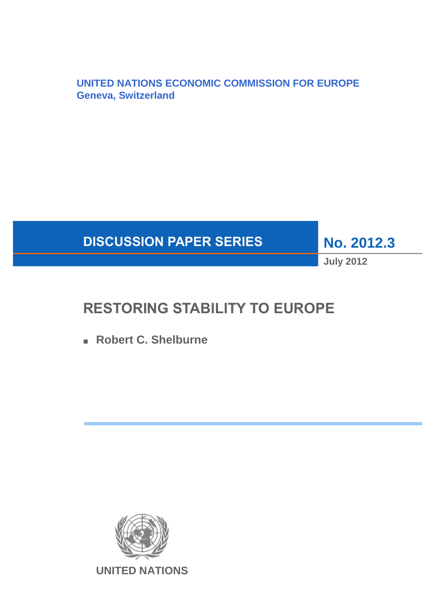**UNITED NATIONS ECONOMIC COMMISSION FOR EUROPE Geneva, Switzerland**



**No. 2012.3**

**July 2012**

# **RESTORING STABILITY TO EUROPE**

■ **Robert C. Shelburne** 

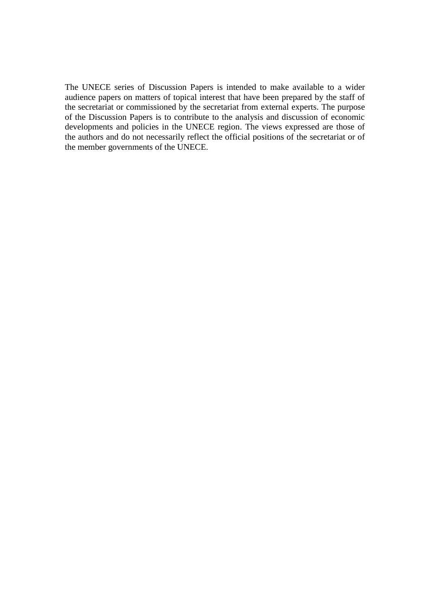The UNECE series of Discussion Papers is intended to make available to a wider audience papers on matters of topical interest that have been prepared by the staff of the secretariat or commissioned by the secretariat from external experts. The purpose of the Discussion Papers is to contribute to the analysis and discussion of economic developments and policies in the UNECE region. The views expressed are those of the authors and do not necessarily reflect the official positions of the secretariat or of the member governments of the UNECE.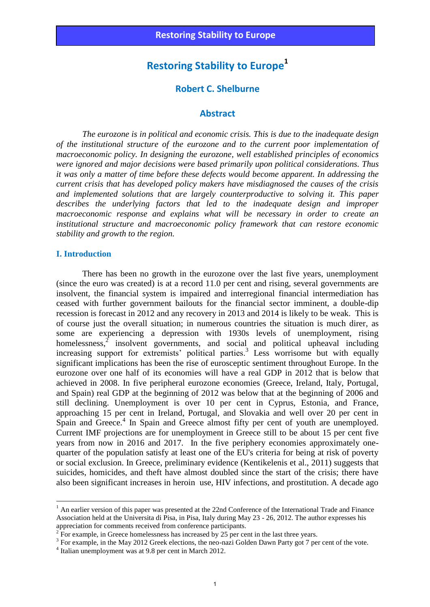# **Robert C. Shelburne**

#### **Abstract**

 *The eurozone is in political and economic crisis. This is due to the inadequate design of the institutional structure of the eurozone and to the current poor implementation of macroeconomic policy. In designing the eurozone, well established principles of economics were ignored and major decisions were based primarily upon political considerations. Thus it was only a matter of time before these defects would become apparent. In addressing the current crisis that has developed policy makers have misdiagnosed the causes of the crisis and implemented solutions that are largely counterproductive to solving it. This paper describes the underlying factors that led to the inadequate design and improper macroeconomic response and explains what will be necessary in order to create an institutional structure and macroeconomic policy framework that can restore economic stability and growth to the region.* 

#### **I. Introduction**

1

There has been no growth in the eurozone over the last five years, unemployment (since the euro was created) is at a record 11.0 per cent and rising, several governments are insolvent, the financial system is impaired and interregional financial intermediation has ceased with further government bailouts for the financial sector imminent, a double-dip recession is forecast in 2012 and any recovery in 2013 and 2014 is likely to be weak. This is of course just the overall situation; in numerous countries the situation is much direr, as some are experiencing a depression with 1930s levels of unemployment, rising homelessness, $\frac{1}{2}$  insolvent governments, and social and political upheaval including increasing support for extremists' political parties.<sup>3</sup> Less worrisome but with equally significant implications has been the rise of eurosceptic sentiment throughout Europe. In the eurozone over one half of its economies will have a real GDP in 2012 that is below that achieved in 2008. In five peripheral eurozone economies (Greece, Ireland, Italy, Portugal, and Spain) real GDP at the beginning of 2012 was below that at the beginning of 2006 and still declining. Unemployment is over 10 per cent in Cyprus, Estonia, and France, approaching 15 per cent in Ireland, Portugal, and Slovakia and well over 20 per cent in Spain and Greece.<sup>4</sup> In Spain and Greece almost fifty per cent of youth are unemployed. Current IMF projections are for unemployment in Greece still to be about 15 per cent five years from now in 2016 and 2017. In the five periphery economies approximately onequarter of the population satisfy at least one of the EU's criteria for being at risk of poverty or social exclusion. In Greece, preliminary evidence (Kentikelenis et al., 2011) suggests that suicides, homicides, and theft have almost doubled since the start of the crisis; there have also been significant increases in heroin use, HIV infections, and prostitution. A decade ago

<sup>&</sup>lt;sup>1</sup> An earlier version of this paper was presented at the 22nd Conference of the International Trade and Finance Association held at the Universita di Pisa, in Pisa, Italy during May 23 - 26, 2012. The author expresses his appreciation for comments received from conference participants.<br> $2 \text{ For example, in Greenes homogeneous has increased by } 25 \text{ per case}$ 

For example, in Greece homelessness has increased by 25 per cent in the last three years.

<sup>&</sup>lt;sup>3</sup> For example, in the May 2012 Greek elections, the neo-nazi Golden Dawn Party got 7 per cent of the vote.

<sup>4</sup> Italian unemployment was at 9.8 per cent in March 2012.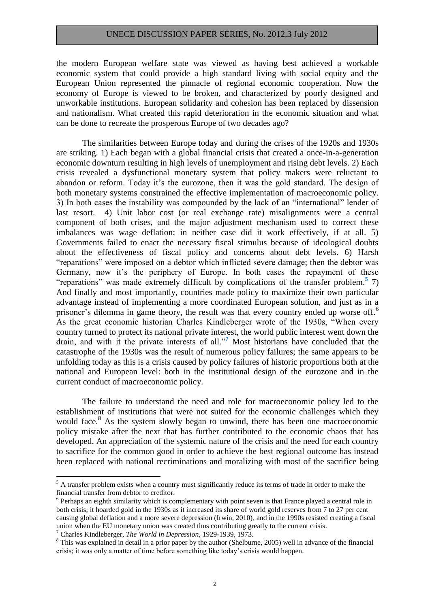the modern European welfare state was viewed as having best achieved a workable economic system that could provide a high standard living with social equity and the European Union represented the pinnacle of regional economic cooperation. Now the economy of Europe is viewed to be broken, and characterized by poorly designed and unworkable institutions. European solidarity and cohesion has been replaced by dissension and nationalism. What created this rapid deterioration in the economic situation and what can be done to recreate the prosperous Europe of two decades ago?

The similarities between Europe today and during the crises of the 1920s and 1930s are striking. 1) Each began with a global financial crisis that created a once-in-a-generation economic downturn resulting in high levels of unemployment and rising debt levels. 2) Each crisis revealed a dysfunctional monetary system that policy makers were reluctant to abandon or reform. Today it's the eurozone, then it was the gold standard. The design of both monetary systems constrained the effective implementation of macroeconomic policy. 3) In both cases the instability was compounded by the lack of an "international" lender of last resort. 4) Unit labor cost (or real exchange rate) misalignments were a central component of both crises, and the major adjustment mechanism used to correct these imbalances was wage deflation; in neither case did it work effectively, if at all. 5) Governments failed to enact the necessary fiscal stimulus because of ideological doubts about the effectiveness of fiscal policy and concerns about debt levels. 6) Harsh "reparations" were imposed on a debtor which inflicted severe damage; then the debtor was Germany, now it's the periphery of Europe. In both cases the repayment of these "reparations" was made extremely difficult by complications of the transfer problem.**<sup>5</sup>** 7) And finally and most importantly, countries made policy to maximize their own particular advantage instead of implementing a more coordinated European solution, and just as in a prisoner's dilemma in game theory, the result was that every country ended up worse off.<sup>6</sup> As the great economic historian Charles Kindleberger wrote of the 1930s, "When every country turned to protect its national private interest, the world public interest went down the drain, and with it the private interests of all."**<sup>7</sup>** Most historians have concluded that the catastrophe of the 1930s was the result of numerous policy failures; the same appears to be unfolding today as this is a crisis caused by policy failures of historic proportions both at the national and European level: both in the institutional design of the eurozone and in the current conduct of macroeconomic policy.

The failure to understand the need and role for macroeconomic policy led to the establishment of institutions that were not suited for the economic challenges which they would face.<sup>8</sup> As the system slowly began to unwind, there has been one macroeconomic policy mistake after the next that has further contributed to the economic chaos that has developed. An appreciation of the systemic nature of the crisis and the need for each country to sacrifice for the common good in order to achieve the best regional outcome has instead been replaced with national recriminations and moralizing with most of the sacrifice being

<u>.</u>

<sup>&</sup>lt;sup>5</sup> A transfer problem exists when a country must significantly reduce its terms of trade in order to make the financial transfer from debtor to creditor.

<sup>&</sup>lt;sup>6</sup> Perhaps an eighth similarity which is complementary with point seven is that France played a central role in both crisis; it hoarded gold in the 1930s as it increased its share of world gold reserves from 7 to 27 per cent causing global deflation and a more severe depression (Irwin, 2010), and in the 1990s resisted creating a fiscal union when the EU monetary union was created thus contributing greatly to the current crisis.

<sup>7</sup> Charles Kindleberger, *The World in Depression*, 1929-1939, 1973.

<sup>&</sup>lt;sup>8</sup> This was explained in detail in a prior paper by the author (Shelburne, 2005) well in advance of the financial crisis; it was only a matter of time before something like today's crisis would happen.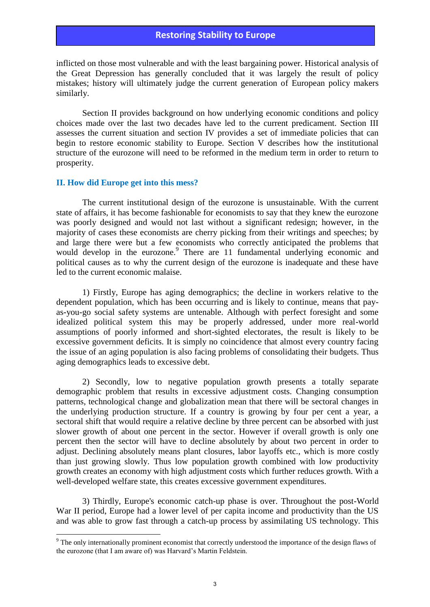inflicted on those most vulnerable and with the least bargaining power. Historical analysis of the Great Depression has generally concluded that it was largely the result of policy mistakes; history will ultimately judge the current generation of European policy makers similarly.

Section II provides background on how underlying economic conditions and policy choices made over the last two decades have led to the current predicament. Section III assesses the current situation and section IV provides a set of immediate policies that can begin to restore economic stability to Europe. Section V describes how the institutional structure of the eurozone will need to be reformed in the medium term in order to return to prosperity.

#### **II. How did Europe get into this mess?**

The current institutional design of the eurozone is unsustainable. With the current state of affairs, it has become fashionable for economists to say that they knew the eurozone was poorly designed and would not last without a significant redesign; however, in the majority of cases these economists are cherry picking from their writings and speeches; by and large there were but a few economists who correctly anticipated the problems that would develop in the eurozone.<sup>9</sup> There are 11 fundamental underlying economic and political causes as to why the current design of the eurozone is inadequate and these have led to the current economic malaise.

1) Firstly, Europe has aging demographics; the decline in workers relative to the dependent population, which has been occurring and is likely to continue, means that payas-you-go social safety systems are untenable. Although with perfect foresight and some idealized political system this may be properly addressed, under more real-world assumptions of poorly informed and short-sighted electorates, the result is likely to be excessive government deficits. It is simply no coincidence that almost every country facing the issue of an aging population is also facing problems of consolidating their budgets. Thus aging demographics leads to excessive debt.

2) Secondly, low to negative population growth presents a totally separate demographic problem that results in excessive adjustment costs. Changing consumption patterns, technological change and globalization mean that there will be sectoral changes in the underlying production structure. If a country is growing by four per cent a year, a sectoral shift that would require a relative decline by three percent can be absorbed with just slower growth of about one percent in the sector. However if overall growth is only one percent then the sector will have to decline absolutely by about two percent in order to adjust. Declining absolutely means plant closures, labor layoffs etc., which is more costly than just growing slowly. Thus low population growth combined with low productivity growth creates an economy with high adjustment costs which further reduces growth. With a well-developed welfare state, this creates excessive government expenditures.

3) Thirdly, Europe's economic catch-up phase is over. Throughout the post-World War II period, Europe had a lower level of per capita income and productivity than the US and was able to grow fast through a catch-up process by assimilating US technology. This

The only internationally prominent economist that correctly understood the importance of the design flaws of <sup>9</sup> the eurozone (that I am aware of) was Harvard's Martin Feldstein.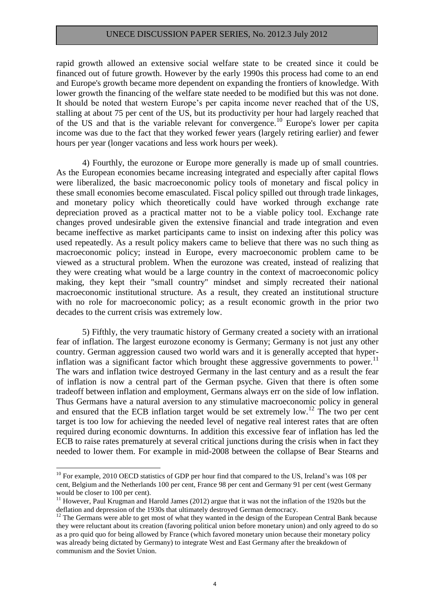rapid growth allowed an extensive social welfare state to be created since it could be financed out of future growth. However by the early 1990s this process had come to an end and Europe's growth became more dependent on expanding the frontiers of knowledge. With lower growth the financing of the welfare state needed to be modified but this was not done. It should be noted that western Europe's per capita income never reached that of the US, stalling at about 75 per cent of the US, but its productivity per hour had largely reached that of the US and that is the variable relevant for convergence.<sup>10</sup> Europe's lower per capita income was due to the fact that they worked fewer years (largely retiring earlier) and fewer hours per year (longer vacations and less work hours per week).

4) Fourthly, the eurozone or Europe more generally is made up of small countries. As the European economies became increasing integrated and especially after capital flows were liberalized, the basic macroeconomic policy tools of monetary and fiscal policy in these small economies become emasculated. Fiscal policy spilled out through trade linkages, and monetary policy which theoretically could have worked through exchange rate depreciation proved as a practical matter not to be a viable policy tool. Exchange rate changes proved undesirable given the extensive financial and trade integration and even became ineffective as market participants came to insist on indexing after this policy was used repeatedly. As a result policy makers came to believe that there was no such thing as macroeconomic policy; instead in Europe, every macroeconomic problem came to be viewed as a structural problem. When the eurozone was created, instead of realizing that they were creating what would be a large country in the context of macroeconomic policy making, they kept their "small country" mindset and simply recreated their national macroeconomic institutional structure. As a result, they created an institutional structure with no role for macroeconomic policy; as a result economic growth in the prior two decades to the current crisis was extremely low.

5) Fifthly, the very traumatic history of Germany created a society with an irrational fear of inflation. The largest eurozone economy is Germany; Germany is not just any other country. German aggression caused two world wars and it is generally accepted that hyperinflation was a significant factor which brought these aggressive governments to power.<sup>11</sup> The wars and inflation twice destroyed Germany in the last century and as a result the fear of inflation is now a central part of the German psyche. Given that there is often some tradeoff between inflation and employment, Germans always err on the side of low inflation. Thus Germans have a natural aversion to any stimulative macroeconomic policy in general and ensured that the ECB inflation target would be set extremely low.<sup>12</sup> The two per cent target is too low for achieving the needed level of negative real interest rates that are often required during economic downturns. In addition this excessive fear of inflation has led the ECB to raise rates prematurely at several critical junctions during the crisis when in fact they needed to lower them. For example in mid-2008 between the collapse of Bear Stearns and

<u>.</u>

<sup>&</sup>lt;sup>10</sup> For example, 2010 OECD statistics of GDP per hour find that compared to the US, Ireland's was 108 per cent, Belgium and the Netherlands 100 per cent, France 98 per cent and Germany 91 per cent (west Germany would be closer to 100 per cent).

<sup>&</sup>lt;sup>11</sup> However, Paul Krugman and Harold James (2012) argue that it was not the inflation of the 1920s but the deflation and depression of the 1930s that ultimately destroyed German democracy.

<sup>&</sup>lt;sup>12</sup> The Germans were able to get most of what they wanted in the design of the European Central Bank because they were reluctant about its creation (favoring political union before monetary union) and only agreed to do so as a pro quid quo for being allowed by France (which favored monetary union because their monetary policy was already being dictated by Germany) to integrate West and East Germany after the breakdown of communism and the Soviet Union.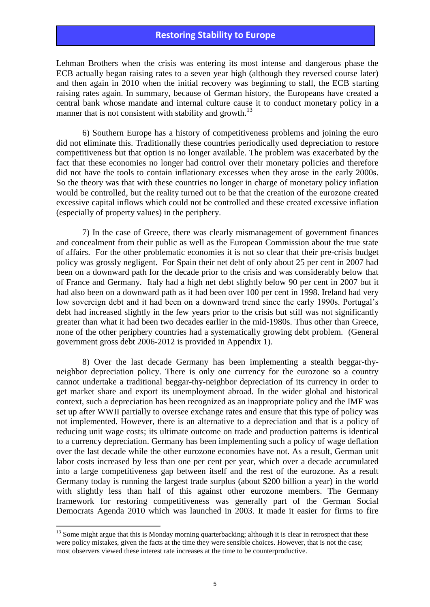Lehman Brothers when the crisis was entering its most intense and dangerous phase the ECB actually began raising rates to a seven year high (although they reversed course later) and then again in 2010 when the initial recovery was beginning to stall, the ECB starting raising rates again. In summary, because of German history, the Europeans have created a central bank whose mandate and internal culture cause it to conduct monetary policy in a manner that is not consistent with stability and growth.<sup>13</sup>

6) Southern Europe has a history of competitiveness problems and joining the euro did not eliminate this. Traditionally these countries periodically used depreciation to restore competitiveness but that option is no longer available. The problem was exacerbated by the fact that these economies no longer had control over their monetary policies and therefore did not have the tools to contain inflationary excesses when they arose in the early 2000s. So the theory was that with these countries no longer in charge of monetary policy inflation would be controlled, but the reality turned out to be that the creation of the eurozone created excessive capital inflows which could not be controlled and these created excessive inflation (especially of property values) in the periphery.

7) In the case of Greece, there was clearly mismanagement of government finances and concealment from their public as well as the European Commission about the true state of affairs. For the other problematic economies it is not so clear that their pre-crisis budget policy was grossly negligent. For Spain their net debt of only about 25 per cent in 2007 had been on a downward path for the decade prior to the crisis and was considerably below that of France and Germany. Italy had a high net debt slightly below 90 per cent in 2007 but it had also been on a downward path as it had been over 100 per cent in 1998. Ireland had very low sovereign debt and it had been on a downward trend since the early 1990s. Portugal's debt had increased slightly in the few years prior to the crisis but still was not significantly greater than what it had been two decades earlier in the mid-1980s. Thus other than Greece, none of the other periphery countries had a systematically growing debt problem. (General government gross debt 2006-2012 is provided in Appendix 1).

8) Over the last decade Germany has been implementing a stealth beggar-thyneighbor depreciation policy. There is only one currency for the eurozone so a country cannot undertake a traditional beggar-thy-neighbor depreciation of its currency in order to get market share and export its unemployment abroad. In the wider global and historical context, such a depreciation has been recognized as an inappropriate policy and the IMF was set up after WWII partially to oversee exchange rates and ensure that this type of policy was not implemented. However, there is an alternative to a depreciation and that is a policy of reducing unit wage costs; its ultimate outcome on trade and production patterns is identical to a currency depreciation. Germany has been implementing such a policy of wage deflation over the last decade while the other eurozone economies have not. As a result, German unit labor costs increased by less than one per cent per year, which over a decade accumulated into a large competitiveness gap between itself and the rest of the eurozone. As a result Germany today is running the largest trade surplus (about \$200 billion a year) in the world with slightly less than half of this against other eurozone members. The Germany framework for restoring competitiveness was generally part of the German Social Democrats Agenda 2010 which was launched in 2003. It made it easier for firms to fire

<sup>&</sup>lt;sup>13</sup> Some might argue that this is Monday morning quarterbacking; although it is clear in retrospect that these were policy mistakes, given the facts at the time they were sensible choices. However, that is not the case; most observers viewed these interest rate increases at the time to be counterproductive.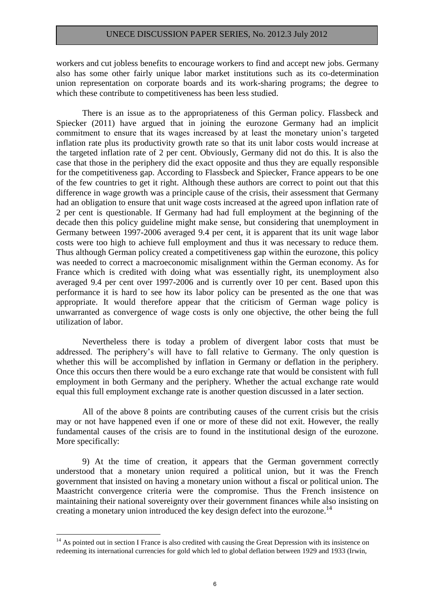workers and cut jobless benefits to encourage workers to find and accept new jobs. Germany also has some other fairly unique labor market institutions such as its co-determination union representation on corporate boards and its work-sharing programs; the degree to which these contribute to competitiveness has been less studied.

There is an issue as to the appropriateness of this German policy. Flassbeck and Spiecker (2011) have argued that in joining the eurozone Germany had an implicit commitment to ensure that its wages increased by at least the monetary union's targeted inflation rate plus its productivity growth rate so that its unit labor costs would increase at the targeted inflation rate of 2 per cent. Obviously, Germany did not do this. It is also the case that those in the periphery did the exact opposite and thus they are equally responsible for the competitiveness gap. According to Flassbeck and Spiecker, France appears to be one of the few countries to get it right. Although these authors are correct to point out that this difference in wage growth was a principle cause of the crisis, their assessment that Germany had an obligation to ensure that unit wage costs increased at the agreed upon inflation rate of 2 per cent is questionable. If Germany had had full employment at the beginning of the decade then this policy guideline might make sense, but considering that unemployment in Germany between 1997-2006 averaged 9.4 per cent, it is apparent that its unit wage labor costs were too high to achieve full employment and thus it was necessary to reduce them. Thus although German policy created a competitiveness gap within the eurozone, this policy was needed to correct a macroeconomic misalignment within the German economy. As for France which is credited with doing what was essentially right, its unemployment also averaged 9.4 per cent over 1997-2006 and is currently over 10 per cent. Based upon this performance it is hard to see how its labor policy can be presented as the one that was appropriate. It would therefore appear that the criticism of German wage policy is unwarranted as convergence of wage costs is only one objective, the other being the full utilization of labor.

Nevertheless there is today a problem of divergent labor costs that must be addressed. The periphery's will have to fall relative to Germany. The only question is whether this will be accomplished by inflation in Germany or deflation in the periphery. Once this occurs then there would be a euro exchange rate that would be consistent with full employment in both Germany and the periphery. Whether the actual exchange rate would equal this full employment exchange rate is another question discussed in a later section.

All of the above 8 points are contributing causes of the current crisis but the crisis may or not have happened even if one or more of these did not exit. However, the really fundamental causes of the crisis are to found in the institutional design of the eurozone. More specifically:

9) At the time of creation, it appears that the German government correctly understood that a monetary union required a political union, but it was the French government that insisted on having a monetary union without a fiscal or political union. The Maastricht convergence criteria were the compromise. Thus the French insistence on maintaining their national sovereignty over their government finances while also insisting on creating a monetary union introduced the key design defect into the eurozone.<sup>14</sup>

<u>.</u>

<sup>&</sup>lt;sup>14</sup> As pointed out in section I France is also credited with causing the Great Depression with its insistence on redeeming its international currencies for gold which led to global deflation between 1929 and 1933 (Irwin,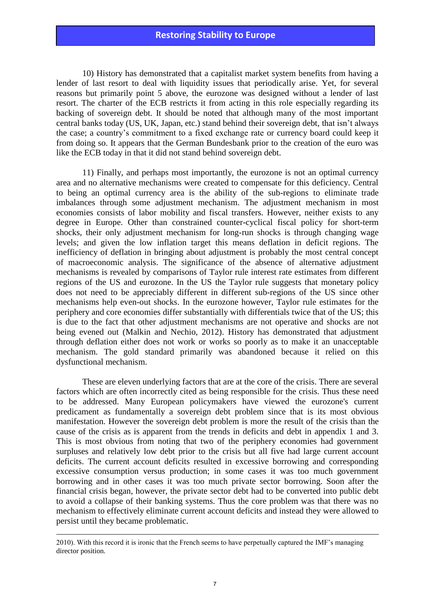10) History has demonstrated that a capitalist market system benefits from having a lender of last resort to deal with liquidity issues that periodically arise. Yet, for several reasons but primarily point 5 above, the eurozone was designed without a lender of last resort. The charter of the ECB restricts it from acting in this role especially regarding its backing of sovereign debt. It should be noted that although many of the most important central banks today (US, UK, Japan, etc.) stand behind their sovereign debt, that isn't always the case; a country's commitment to a fixed exchange rate or currency board could keep it from doing so. It appears that the German Bundesbank prior to the creation of the euro was like the ECB today in that it did not stand behind sovereign debt.

11) Finally, and perhaps most importantly, the eurozone is not an optimal currency area and no alternative mechanisms were created to compensate for this deficiency. Central to being an optimal currency area is the ability of the sub-regions to eliminate trade imbalances through some adjustment mechanism. The adjustment mechanism in most economies consists of labor mobility and fiscal transfers. However, neither exists to any degree in Europe. Other than constrained counter-cyclical fiscal policy for short-term shocks, their only adjustment mechanism for long-run shocks is through changing wage levels; and given the low inflation target this means deflation in deficit regions. The inefficiency of deflation in bringing about adjustment is probably the most central concept of macroeconomic analysis. The significance of the absence of alternative adjustment mechanisms is revealed by comparisons of Taylor rule interest rate estimates from different regions of the US and eurozone. In the US the Taylor rule suggests that monetary policy does not need to be appreciably different in different sub-regions of the US since other mechanisms help even-out shocks. In the eurozone however, Taylor rule estimates for the periphery and core economies differ substantially with differentials twice that of the US; this is due to the fact that other adjustment mechanisms are not operative and shocks are not being evened out (Malkin and Nechio, 2012). History has demonstrated that adjustment through deflation either does not work or works so poorly as to make it an unacceptable mechanism. The gold standard primarily was abandoned because it relied on this dysfunctional mechanism.

These are eleven underlying factors that are at the core of the crisis. There are several factors which are often incorrectly cited as being responsible for the crisis. Thus these need to be addressed. Many European policymakers have viewed the eurozone's current predicament as fundamentally a sovereign debt problem since that is its most obvious manifestation. However the sovereign debt problem is more the result of the crisis than the cause of the crisis as is apparent from the trends in deficits and debt in appendix 1 and 3. This is most obvious from noting that two of the periphery economies had government surpluses and relatively low debt prior to the crisis but all five had large current account deficits. The current account deficits resulted in excessive borrowing and corresponding excessive consumption versus production; in some cases it was too much government borrowing and in other cases it was too much private sector borrowing. Soon after the financial crisis began, however, the private sector debt had to be converted into public debt to avoid a collapse of their banking systems. Thus the core problem was that there was no mechanism to effectively eliminate current account deficits and instead they were allowed to persist until they became problematic.

<u>.</u>

<sup>2010).</sup> With this record it is ironic that the French seems to have perpetually captured the IMF's managing director position.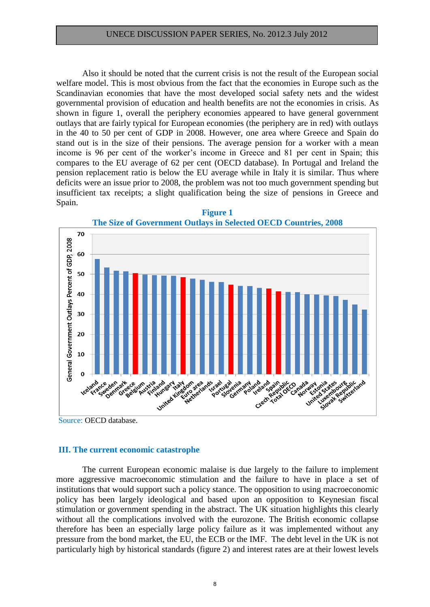Also it should be noted that the current crisis is not the result of the European social welfare model. This is most obvious from the fact that the economies in Europe such as the Scandinavian economies that have the most developed social safety nets and the widest governmental provision of education and health benefits are not the economies in crisis. As shown in figure 1, overall the periphery economies appeared to have general government outlays that are fairly typical for European economies (the periphery are in red) with outlays in the 40 to 50 per cent of GDP in 2008. However, one area where Greece and Spain do stand out is in the size of their pensions. The average pension for a worker with a mean income is 96 per cent of the worker's income in Greece and 81 per cent in Spain; this compares to the EU average of 62 per cent (OECD database). In Portugal and Ireland the pension replacement ratio is below the EU average while in Italy it is similar. Thus where deficits were an issue prior to 2008, the problem was not too much government spending but insufficient tax receipts; a slight qualification being the size of pensions in Greece and Spain.





Source: OECD database.

### **III. The current economic catastrophe**

The current European economic malaise is due largely to the failure to implement more aggressive macroeconomic stimulation and the failure to have in place a set of institutions that would support such a policy stance. The opposition to using macroeconomic policy has been largely ideological and based upon an opposition to Keynesian fiscal stimulation or government spending in the abstract. The UK situation highlights this clearly without all the complications involved with the eurozone. The British economic collapse therefore has been an especially large policy failure as it was implemented without any pressure from the bond market, the EU, the ECB or the IMF. The debt level in the UK is not particularly high by historical standards (figure 2) and interest rates are at their lowest levels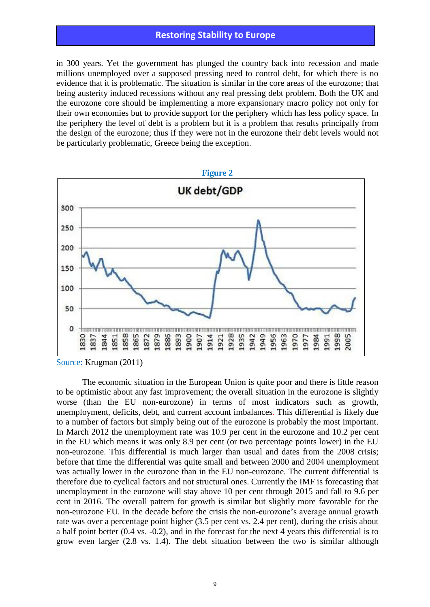in 300 years. Yet the government has plunged the country back into recession and made millions unemployed over a supposed pressing need to control debt, for which there is no evidence that it is problematic. The situation is similar in the core areas of the eurozone; that being austerity induced recessions without any real pressing debt problem. Both the UK and the eurozone core should be implementing a more expansionary macro policy not only for their own economies but to provide support for the periphery which has less policy space. In the periphery the level of debt is a problem but it is a problem that results principally from the design of the eurozone; thus if they were not in the eurozone their debt levels would not be particularly problematic, Greece being the exception.



Source: Krugman (2011)

The economic situation in the European Union is quite poor and there is little reason to be optimistic about any fast improvement; the overall situation in the eurozone is slightly worse (than the EU non-eurozone) in terms of most indicators such as growth, unemployment, deficits, debt, and current account imbalances. This differential is likely due to a number of factors but simply being out of the eurozone is probably the most important. In March 2012 the unemployment rate was 10.9 per cent in the eurozone and 10.2 per cent in the EU which means it was only 8.9 per cent (or two percentage points lower) in the EU non-eurozone. This differential is much larger than usual and dates from the 2008 crisis; before that time the differential was quite small and between 2000 and 2004 unemployment was actually lower in the eurozone than in the EU non-eurozone. The current differential is therefore due to cyclical factors and not structural ones. Currently the IMF is forecasting that unemployment in the eurozone will stay above 10 per cent through 2015 and fall to 9.6 per cent in 2016. The overall pattern for growth is similar but slightly more favorable for the non-eurozone EU. In the decade before the crisis the non-eurozone's average annual growth rate was over a percentage point higher (3.5 per cent vs. 2.4 per cent), during the crisis about a half point better (0.4 vs. -0.2), and in the forecast for the next 4 years this differential is to grow even larger (2.8 vs. 1.4). The debt situation between the two is similar although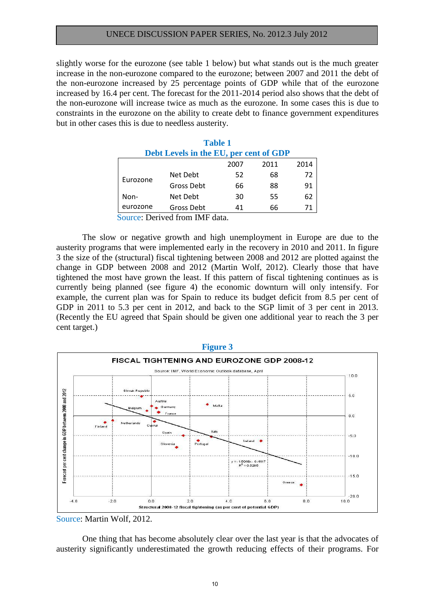slightly worse for the eurozone (see table 1 below) but what stands out is the much greater increase in the non-eurozone compared to the eurozone; between 2007 and 2011 the debt of the non-eurozone increased by 25 percentage points of GDP while that of the eurozone increased by 16.4 per cent. The forecast for the 2011-2014 period also shows that the debt of the non-eurozone will increase twice as much as the eurozone. In some cases this is due to constraints in the eurozone on the ability to create debt to finance government expenditures but in other cases this is due to needless austerity.

| <b>Table 1</b>                         |            |      |      |      |  |  |  |  |
|----------------------------------------|------------|------|------|------|--|--|--|--|
| Debt Levels in the EU, per cent of GDP |            |      |      |      |  |  |  |  |
|                                        |            | 2007 | 2011 | 2014 |  |  |  |  |
| Eurozone                               | Net Debt   | 52   | 68   | 72   |  |  |  |  |
|                                        | Gross Debt | 66   | 88   | 91   |  |  |  |  |
| Non-                                   | Net Debt   | 30   | 55   | 62   |  |  |  |  |
| eurozone                               | Gross Debt | 41   | 66   | 71   |  |  |  |  |

Source: Derived from IMF data.

The slow or negative growth and high unemployment in Europe are due to the austerity programs that were implemented early in the recovery in 2010 and 2011. In figure 3 the size of the (structural) fiscal tightening between 2008 and 2012 are plotted against the change in GDP between 2008 and 2012 (Martin Wolf, 2012). Clearly those that have tightened the most have grown the least. If this pattern of fiscal tightening continues as is currently being planned (see figure 4) the economic downturn will only intensify. For example, the current plan was for Spain to reduce its budget deficit from 8.5 per cent of GDP in 2011 to 5.3 per cent in 2012, and back to the SGP limit of 3 per cent in 2013. (Recently the EU agreed that Spain should be given one additional year to reach the 3 per cent target.)



Source: Martin Wolf, 2012.

One thing that has become absolutely clear over the last year is that the advocates of austerity significantly underestimated the growth reducing effects of their programs. For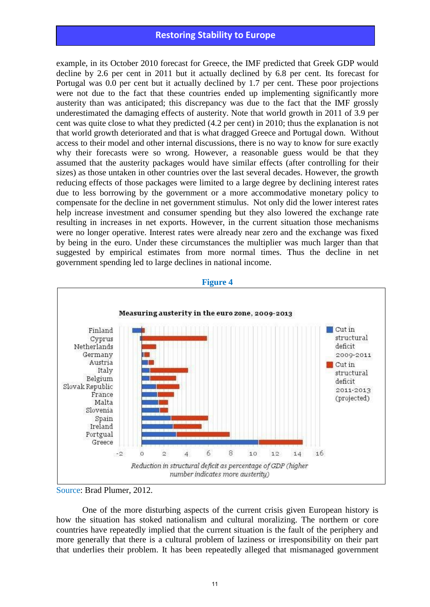example, in its October 2010 forecast for Greece, the IMF predicted that Greek GDP would decline by 2.6 per cent in 2011 but it actually declined by 6.8 per cent. Its forecast for Portugal was 0.0 per cent but it actually declined by 1.7 per cent. These poor projections were not due to the fact that these countries ended up implementing significantly more austerity than was anticipated; this discrepancy was due to the fact that the IMF grossly underestimated the damaging effects of austerity. Note that world growth in 2011 of 3.9 per cent was quite close to what they predicted (4.2 per cent) in 2010; thus the explanation is not that world growth deteriorated and that is what dragged Greece and Portugal down. Without access to their model and other internal discussions, there is no way to know for sure exactly why their forecasts were so wrong. However, a reasonable guess would be that they assumed that the austerity packages would have similar effects (after controlling for their sizes) as those untaken in other countries over the last several decades. However, the growth reducing effects of those packages were limited to a large degree by declining interest rates due to less borrowing by the government or a more accommodative monetary policy to compensate for the decline in net government stimulus. Not only did the lower interest rates help increase investment and consumer spending but they also lowered the exchange rate resulting in increases in net exports. However, in the current situation those mechanisms were no longer operative. Interest rates were already near zero and the exchange was fixed by being in the euro. Under these circumstances the multiplier was much larger than that suggested by empirical estimates from more normal times. Thus the decline in net government spending led to large declines in national income.



#### **Figure 4**

One of the more disturbing aspects of the current crisis given European history is how the situation has stoked nationalism and cultural moralizing. The northern or core countries have repeatedly implied that the current situation is the fault of the periphery and more generally that there is a cultural problem of laziness or irresponsibility on their part that underlies their problem. It has been repeatedly alleged that mismanaged government

Source: Brad Plumer, 2012.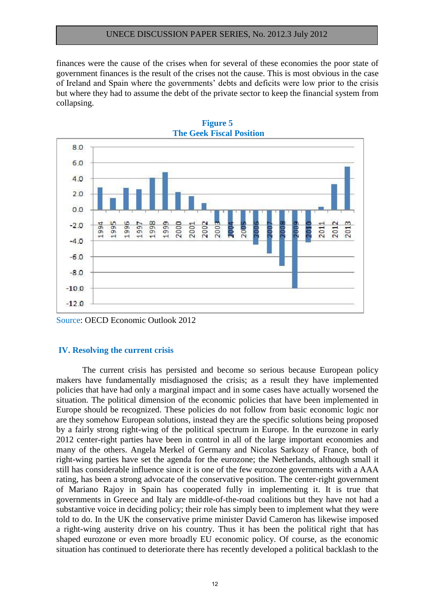finances were the cause of the crises when for several of these economies the poor state of government finances is the result of the crises not the cause. This is most obvious in the case of Ireland and Spain where the governments' debts and deficits were low prior to the crisis but where they had to assume the debt of the private sector to keep the financial system from collapsing.

**Figure 5** 



Source: OECD Economic Outlook 2012

#### **IV. Resolving the current crisis**

The current crisis has persisted and become so serious because European policy makers have fundamentally misdiagnosed the crisis; as a result they have implemented policies that have had only a marginal impact and in some cases have actually worsened the situation. The political dimension of the economic policies that have been implemented in Europe should be recognized. These policies do not follow from basic economic logic nor are they somehow European solutions, instead they are the specific solutions being proposed by a fairly strong right-wing of the political spectrum in Europe. In the eurozone in early 2012 center-right parties have been in control in all of the large important economies and many of the others. Angela Merkel of Germany and Nicolas Sarkozy of France, both of right-wing parties have set the agenda for the eurozone; the Netherlands, although small it still has considerable influence since it is one of the few eurozone governments with a AAA rating, has been a strong advocate of the conservative position. The center-right government of Mariano Rajoy in Spain has cooperated fully in implementing it. It is true that governments in Greece and Italy are middle-of-the-road coalitions but they have not had a substantive voice in deciding policy; their role has simply been to implement what they were told to do. In the UK the conservative prime minister David Cameron has likewise imposed a right-wing austerity drive on his country. Thus it has been the political right that has shaped eurozone or even more broadly EU economic policy. Of course, as the economic situation has continued to deteriorate there has recently developed a political backlash to the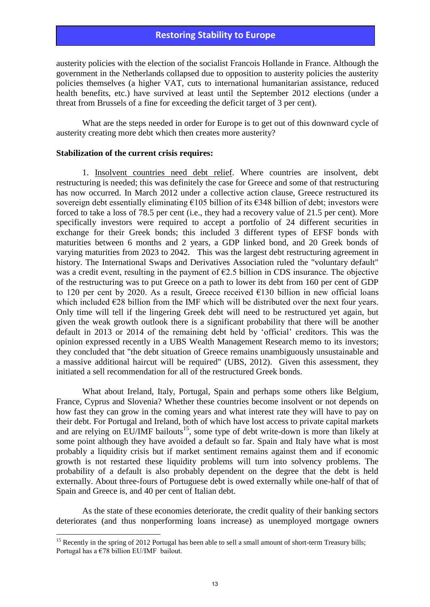austerity policies with the election of the socialist Francois Hollande in France. Although the government in the Netherlands collapsed due to opposition to austerity policies the austerity policies themselves (a higher VAT, cuts to international humanitarian assistance, reduced health benefits, etc.) have survived at least until the September 2012 elections (under a threat from Brussels of a fine for exceeding the deficit target of 3 per cent).

What are the steps needed in order for Europe is to get out of this downward cycle of austerity creating more debt which then creates more austerity?

#### **Stabilization of the current crisis requires:**

<u>.</u>

1. Insolvent countries need debt relief. Where countries are insolvent, debt restructuring is needed; this was definitely the case for Greece and some of that restructuring has now occurred. In March 2012 under a collective action clause, Greece restructured its sovereign debt essentially eliminating €105 billion of its €348 billion of debt; investors were forced to take a loss of 78.5 per cent (i.e., they had a recovery value of 21.5 per cent). More specifically investors were required to accept a portfolio of 24 different securities in exchange for their Greek bonds; this included 3 different types of EFSF bonds with maturities between 6 months and 2 years, a GDP linked bond, and 20 Greek bonds of varying maturities from 2023 to 2042. This was the largest debt restructuring agreement in history. The International Swaps and Derivatives Association ruled the "voluntary default" was a credit event, resulting in the payment of  $\epsilon$ 2.5 billion in CDS insurance. The objective of the restructuring was to put Greece on a path to lower its debt from 160 per cent of GDP to 120 per cent by 2020. As a result, Greece received  $E130$  billion in new official loans which included  $E28$  billion from the IMF which will be distributed over the next four years. Only time will tell if the lingering Greek debt will need to be restructured yet again, but given the weak growth outlook there is a significant probability that there will be another default in 2013 or 2014 of the remaining debt held by 'official' creditors. This was the opinion expressed recently in a UBS Wealth Management Research memo to its investors; they concluded that "the debt situation of Greece remains unambiguously unsustainable and a massive additional haircut will be required" (UBS, 2012). Given this assessment, they initiated a sell recommendation for all of the restructured Greek bonds.

What about Ireland, Italy, Portugal, Spain and perhaps some others like Belgium, France, Cyprus and Slovenia? Whether these countries become insolvent or not depends on how fast they can grow in the coming years and what interest rate they will have to pay on their debt. For Portugal and Ireland, both of which have lost access to private capital markets and are relying on EU/IMF bailouts<sup>15</sup>, some type of debt write-down is more than likely at some point although they have avoided a default so far. Spain and Italy have what is most probably a liquidity crisis but if market sentiment remains against them and if economic growth is not restarted these liquidity problems will turn into solvency problems. The probability of a default is also probably dependent on the degree that the debt is held externally. About three-fours of Portuguese debt is owed externally while one-half of that of Spain and Greece is, and 40 per cent of Italian debt.

As the state of these economies deteriorate, the credit quality of their banking sectors deteriorates (and thus nonperforming loans increase) as unemployed mortgage owners

<sup>&</sup>lt;sup>15</sup> Recently in the spring of 2012 Portugal has been able to sell a small amount of short-term Treasury bills; Portugal has a  $\epsilon$ 78 billion EU/IMF bailout.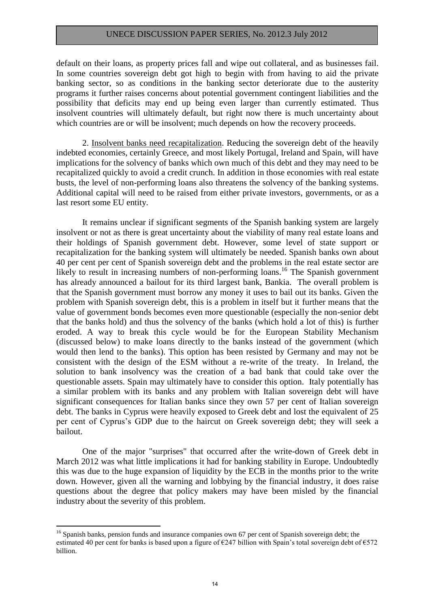default on their loans, as property prices fall and wipe out collateral, and as businesses fail. In some countries sovereign debt got high to begin with from having to aid the private banking sector, so as conditions in the banking sector deteriorate due to the austerity programs it further raises concerns about potential government contingent liabilities and the possibility that deficits may end up being even larger than currently estimated. Thus insolvent countries will ultimately default, but right now there is much uncertainty about which countries are or will be insolvent; much depends on how the recovery proceeds.

2. Insolvent banks need recapitalization. Reducing the sovereign debt of the heavily indebted economies, certainly Greece, and most likely Portugal, Ireland and Spain, will have implications for the solvency of banks which own much of this debt and they may need to be recapitalized quickly to avoid a credit crunch. In addition in those economies with real estate busts, the level of non-performing loans also threatens the solvency of the banking systems. Additional capital will need to be raised from either private investors, governments, or as a last resort some EU entity.

It remains unclear if significant segments of the Spanish banking system are largely insolvent or not as there is great uncertainty about the viability of many real estate loans and their holdings of Spanish government debt. However, some level of state support or recapitalization for the banking system will ultimately be needed. Spanish banks own about 40 per cent per cent of Spanish sovereign debt and the problems in the real estate sector are likely to result in increasing numbers of non-performing loans.<sup>16</sup> The Spanish government has already announced a bailout for its third largest bank, Bankia. The overall problem is that the Spanish government must borrow any money it uses to bail out its banks. Given the problem with Spanish sovereign debt, this is a problem in itself but it further means that the value of government bonds becomes even more questionable (especially the non-senior debt that the banks hold) and thus the solvency of the banks (which hold a lot of this) is further eroded. A way to break this cycle would be for the European Stability Mechanism (discussed below) to make loans directly to the banks instead of the government (which would then lend to the banks). This option has been resisted by Germany and may not be consistent with the design of the ESM without a re-write of the treaty. In Ireland, the solution to bank insolvency was the creation of a bad bank that could take over the questionable assets. Spain may ultimately have to consider this option. Italy potentially has a similar problem with its banks and any problem with Italian sovereign debt will have significant consequences for Italian banks since they own 57 per cent of Italian sovereign debt. The banks in Cyprus were heavily exposed to Greek debt and lost the equivalent of 25 per cent of Cyprus's GDP due to the haircut on Greek sovereign debt; they will seek a bailout.

One of the major "surprises" that occurred after the write-down of Greek debt in March 2012 was what little implications it had for banking stability in Europe. Undoubtedly this was due to the huge expansion of liquidity by the ECB in the months prior to the write down. However, given all the warning and lobbying by the financial industry, it does raise questions about the degree that policy makers may have been misled by the financial industry about the severity of this problem.

<sup>&</sup>lt;sup>16</sup> Spanish banks, pension funds and insurance companies own 67 per cent of Spanish sovereign debt; the estimated 40 per cent for banks is based upon a figure of  $\epsilon$ 247 billion with Spain's total sovereign debt of  $\epsilon$ 572 billion.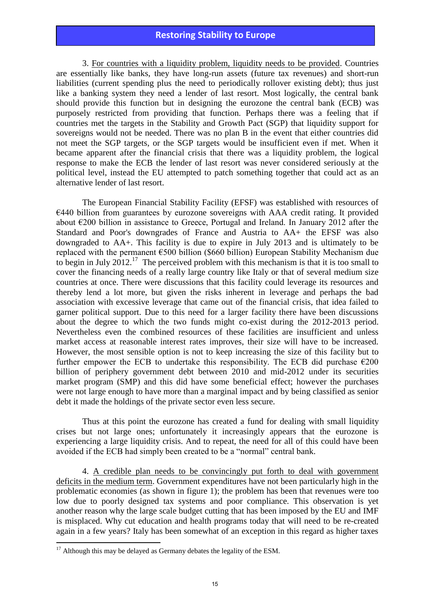3. For countries with a liquidity problem, liquidity needs to be provided. Countries are essentially like banks, they have long-run assets (future tax revenues) and short-run liabilities (current spending plus the need to periodically rollover existing debt); thus just like a banking system they need a lender of last resort. Most logically, the central bank should provide this function but in designing the eurozone the central bank (ECB) was purposely restricted from providing that function. Perhaps there was a feeling that if countries met the targets in the Stability and Growth Pact (SGP) that liquidity support for sovereigns would not be needed. There was no plan B in the event that either countries did not meet the SGP targets, or the SGP targets would be insufficient even if met. When it became apparent after the financial crisis that there was a liquidity problem, the logical response to make the ECB the lender of last resort was never considered seriously at the political level, instead the EU attempted to patch something together that could act as an alternative lender of last resort.

The European Financial Stability Facility (EFSF) was established with resources of  $E$ 440 billion from guarantees by eurozone sovereigns with AAA credit rating. It provided about €200 billion in assistance to Greece, Portugal and Ireland. In January 2012 after the Standard and Poor's downgrades of France and Austria to AA+ the EFSF was also downgraded to AA+. This facility is due to expire in July 2013 and is ultimately to be replaced with the permanent €500 billion (\$660 billion) European Stability Mechanism due to begin in July 2012.<sup>17</sup> The perceived problem with this mechanism is that it is too small to cover the financing needs of a really large country like Italy or that of several medium size countries at once. There were discussions that this facility could leverage its resources and thereby lend a lot more, but given the risks inherent in leverage and perhaps the bad association with excessive leverage that came out of the financial crisis, that idea failed to garner political support. Due to this need for a larger facility there have been discussions about the degree to which the two funds might co-exist during the 2012-2013 period. Nevertheless even the combined resources of these facilities are insufficient and unless market access at reasonable interest rates improves, their size will have to be increased. However, the most sensible option is not to keep increasing the size of this facility but to further empower the ECB to undertake this responsibility. The ECB did purchase  $\epsilon$ 200 billion of periphery government debt between 2010 and mid-2012 under its securities market program (SMP) and this did have some beneficial effect; however the purchases were not large enough to have more than a marginal impact and by being classified as senior debt it made the holdings of the private sector even less secure.

Thus at this point the eurozone has created a fund for dealing with small liquidity crises but not large ones; unfortunately it increasingly appears that the eurozone is experiencing a large liquidity crisis. And to repeat, the need for all of this could have been avoided if the ECB had simply been created to be a "normal" central bank.

 4. A credible plan needs to be convincingly put forth to deal with government deficits in the medium term. Government expenditures have not been particularly high in the problematic economies (as shown in figure 1); the problem has been that revenues were too low due to poorly designed tax systems and poor compliance. This observation is yet another reason why the large scale budget cutting that has been imposed by the EU and IMF is misplaced. Why cut education and health programs today that will need to be re-created again in a few years? Italy has been somewhat of an exception in this regard as higher taxes

-

 $17$  Although this may be delayed as Germany debates the legality of the ESM.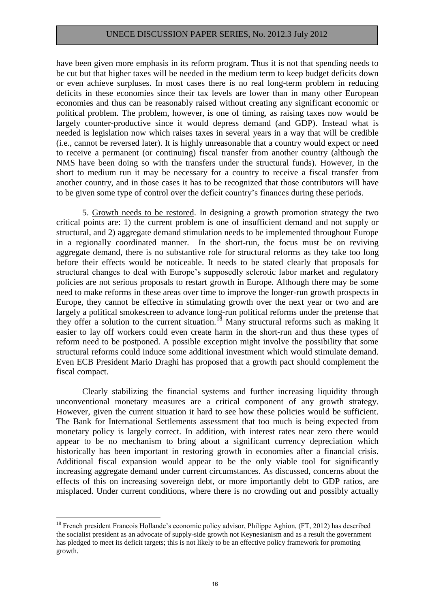have been given more emphasis in its reform program. Thus it is not that spending needs to be cut but that higher taxes will be needed in the medium term to keep budget deficits down or even achieve surpluses. In most cases there is no real long-term problem in reducing deficits in these economies since their tax levels are lower than in many other European economies and thus can be reasonably raised without creating any significant economic or political problem. The problem, however, is one of timing, as raising taxes now would be largely counter-productive since it would depress demand (and GDP). Instead what is needed is legislation now which raises taxes in several years in a way that will be credible (i.e., cannot be reversed later). It is highly unreasonable that a country would expect or need to receive a permanent (or continuing) fiscal transfer from another country (although the NMS have been doing so with the transfers under the structural funds). However, in the short to medium run it may be necessary for a country to receive a fiscal transfer from another country, and in those cases it has to be recognized that those contributors will have to be given some type of control over the deficit country's finances during these periods.

5. Growth needs to be restored. In designing a growth promotion strategy the two critical points are: 1) the current problem is one of insufficient demand and not supply or structural, and 2) aggregate demand stimulation needs to be implemented throughout Europe in a regionally coordinated manner. In the short-run, the focus must be on reviving aggregate demand, there is no substantive role for structural reforms as they take too long before their effects would be noticeable. It needs to be stated clearly that proposals for structural changes to deal with Europe's supposedly sclerotic labor market and regulatory policies are not serious proposals to restart growth in Europe. Although there may be some need to make reforms in these areas over time to improve the longer-run growth prospects in Europe, they cannot be effective in stimulating growth over the next year or two and are largely a political smokescreen to advance long-run political reforms under the pretense that they offer a solution to the current situation.<sup>18</sup> Many structural reforms such as making it easier to lay off workers could even create harm in the short-run and thus these types of reform need to be postponed. A possible exception might involve the possibility that some structural reforms could induce some additional investment which would stimulate demand. Even ECB President Mario Draghi has proposed that a growth pact should complement the fiscal compact.

Clearly stabilizing the financial systems and further increasing liquidity through unconventional monetary measures are a critical component of any growth strategy. However, given the current situation it hard to see how these policies would be sufficient. The Bank for International Settlements assessment that too much is being expected from monetary policy is largely correct. In addition, with interest rates near zero there would appear to be no mechanism to bring about a significant currency depreciation which historically has been important in restoring growth in economies after a financial crisis. Additional fiscal expansion would appear to be the only viable tool for significantly increasing aggregate demand under current circumstances. As discussed, concerns about the effects of this on increasing sovereign debt, or more importantly debt to GDP ratios, are misplaced. Under current conditions, where there is no crowding out and possibly actually

<sup>&</sup>lt;sup>18</sup> French president Francois Hollande's economic policy advisor, Philippe Aghion, (FT, 2012) has described the socialist president as an advocate of supply-side growth not Keynesianism and as a result the government has pledged to meet its deficit targets; this is not likely to be an effective policy framework for promoting growth.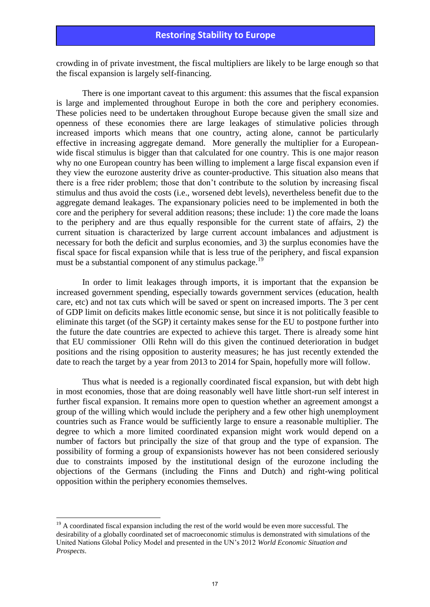crowding in of private investment, the fiscal multipliers are likely to be large enough so that the fiscal expansion is largely self-financing.

There is one important caveat to this argument: this assumes that the fiscal expansion is large and implemented throughout Europe in both the core and periphery economies. These policies need to be undertaken throughout Europe because given the small size and openness of these economies there are large leakages of stimulative policies through increased imports which means that one country, acting alone, cannot be particularly effective in increasing aggregate demand. More generally the multiplier for a Europeanwide fiscal stimulus is bigger than that calculated for one country. This is one major reason why no one European country has been willing to implement a large fiscal expansion even if they view the eurozone austerity drive as counter-productive. This situation also means that there is a free rider problem; those that don't contribute to the solution by increasing fiscal stimulus and thus avoid the costs (i.e., worsened debt levels), nevertheless benefit due to the aggregate demand leakages. The expansionary policies need to be implemented in both the core and the periphery for several addition reasons; these include: 1) the core made the loans to the periphery and are thus equally responsible for the current state of affairs, 2) the current situation is characterized by large current account imbalances and adjustment is necessary for both the deficit and surplus economies, and 3) the surplus economies have the fiscal space for fiscal expansion while that is less true of the periphery, and fiscal expansion must be a substantial component of any stimulus package.<sup>19</sup>

In order to limit leakages through imports, it is important that the expansion be increased government spending, especially towards government services (education, health care, etc) and not tax cuts which will be saved or spent on increased imports. The 3 per cent of GDP limit on deficits makes little economic sense, but since it is not politically feasible to eliminate this target (of the SGP) it certainty makes sense for the EU to postpone further into the future the date countries are expected to achieve this target. There is already some hint that EU commissioner Olli Rehn will do this given the continued deterioration in budget positions and the rising opposition to austerity measures; he has just recently extended the date to reach the target by a year from 2013 to 2014 for Spain, hopefully more will follow.

Thus what is needed is a regionally coordinated fiscal expansion, but with debt high in most economies, those that are doing reasonably well have little short-run self interest in further fiscal expansion. It remains more open to question whether an agreement amongst a group of the willing which would include the periphery and a few other high unemployment countries such as France would be sufficiently large to ensure a reasonable multiplier. The degree to which a more limited coordinated expansion might work would depend on a number of factors but principally the size of that group and the type of expansion. The possibility of forming a group of expansionists however has not been considered seriously due to constraints imposed by the institutional design of the eurozone including the objections of the Germans (including the Finns and Dutch) and right-wing political opposition within the periphery economies themselves.

<sup>&</sup>lt;sup>19</sup> A coordinated fiscal expansion including the rest of the world would be even more successful. The desirability of a globally coordinated set of macroeconomic stimulus is demonstrated with simulations of the United Nations Global Policy Model and presented in the UN's 2012 *World Economic Situation and Prospects*.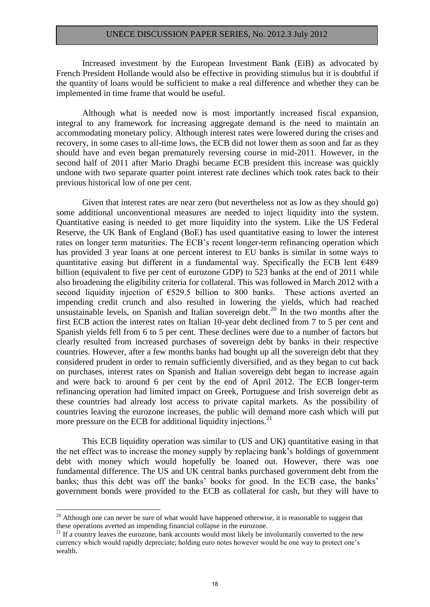Increased investment by the European Investment Bank (EiB) as advocated by French President Hollande would also be effective in providing stimulus but it is doubtful if the quantity of loans would be sufficient to make a real difference and whether they can be implemented in time frame that would be useful.

Although what is needed now is most importantly increased fiscal expansion, integral to any framework for increasing aggregate demand is the need to maintain an accommodating monetary policy. Although interest rates were lowered during the crises and recovery, in some cases to all-time lows, the ECB did not lower them as soon and far as they should have and even began prematurely reversing course in mid-2011. However, in the second half of 2011 after Mario Draghi became ECB president this increase was quickly undone with two separate quarter point interest rate declines which took rates back to their previous historical low of one per cent.

Given that interest rates are near zero (but nevertheless not as low as they should go) some additional unconventional measures are needed to inject liquidity into the system. Quantitative easing is needed to get more liquidity into the system. Like the US Federal Reserve, the UK Bank of England (BoE) has used quantitative easing to lower the interest rates on longer term maturities. The ECB's recent longer-term refinancing operation which has provided 3 year loans at one percent interest to EU banks is similar in some ways to quantitative easing but different in a fundamental way. Specifically the ECB lent  $E489$ billion (equivalent to five per cent of eurozone GDP) to 523 banks at the end of 2011 while also broadening the eligibility criteria for collateral. This was followed in March 2012 with a second liquidity injection of €529.5 billion to 800 banks. These actions averted an impending credit crunch and also resulted in lowering the yields, which had reached unsustainable levels, on Spanish and Italian sovereign debt.<sup>20</sup> In the two months after the first ECB action the interest rates on Italian 10-year debt declined from 7 to 5 per cent and Spanish yields fell from 6 to 5 per cent. These declines were due to a number of factors but clearly resulted from increased purchases of sovereign debt by banks in their respective countries. However, after a few months banks had bought up all the sovereign debt that they considered prudent in order to remain sufficiently diversified, and as they began to cut back on purchases, interest rates on Spanish and Italian sovereign debt began to increase again and were back to around 6 per cent by the end of April 2012. The ECB longer-term refinancing operation had limited impact on Greek, Portuguese and Irish sovereign debt as these countries had already lost access to private capital markets. As the possibility of countries leaving the eurozone increases, the public will demand more cash which will put more pressure on the ECB for additional liquidity injections.<sup>21</sup>

This ECB liquidity operation was similar to (US and UK) quantitative easing in that the net effect was to increase the money supply by replacing bank's holdings of government debt with money which would hopefully be loaned out. However, there was one fundamental difference. The US and UK central banks purchased government debt from the banks; thus this debt was off the banks' books for good. In the ECB case, the banks' government bonds were provided to the ECB as collateral for cash, but they will have to

<u>.</u>

 $20$  Although one can never be sure of what would have happened otherwise, it is reasonable to suggest that these operations averted an impending financial collapse in the eurozone.

<sup>&</sup>lt;sup>21</sup> If a country leaves the eurozone, bank accounts would most likely be involuntarily converted to the new currency which would rapidly depreciate; holding euro notes however would be one way to protect one's wealth.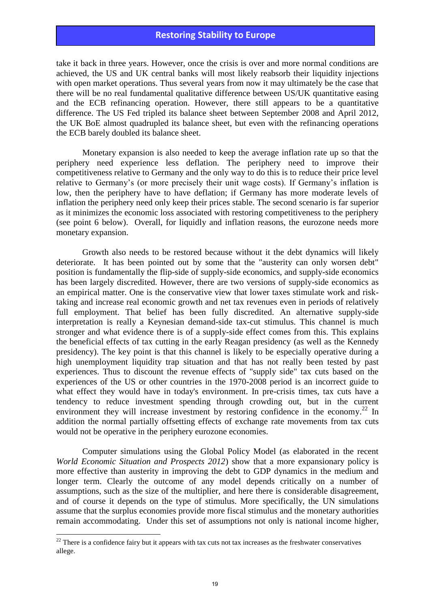take it back in three years. However, once the crisis is over and more normal conditions are achieved, the US and UK central banks will most likely reabsorb their liquidity injections with open market operations. Thus several years from now it may ultimately be the case that there will be no real fundamental qualitative difference between US/UK quantitative easing and the ECB refinancing operation. However, there still appears to be a quantitative difference. The US Fed tripled its balance sheet between September 2008 and April 2012, the UK BoE almost quadrupled its balance sheet, but even with the refinancing operations the ECB barely doubled its balance sheet.

Monetary expansion is also needed to keep the average inflation rate up so that the periphery need experience less deflation. The periphery need to improve their competitiveness relative to Germany and the only way to do this is to reduce their price level relative to Germany's (or more precisely their unit wage costs). If Germany's inflation is low, then the periphery have to have deflation; if Germany has more moderate levels of inflation the periphery need only keep their prices stable. The second scenario is far superior as it minimizes the economic loss associated with restoring competitiveness to the periphery (see point 6 below). Overall, for liquidly and inflation reasons, the eurozone needs more monetary expansion.

Growth also needs to be restored because without it the debt dynamics will likely deteriorate. It has been pointed out by some that the "austerity can only worsen debt" position is fundamentally the flip-side of supply-side economics, and supply-side economics has been largely discredited. However, there are two versions of supply-side economics as an empirical matter. One is the conservative view that lower taxes stimulate work and risktaking and increase real economic growth and net tax revenues even in periods of relatively full employment. That belief has been fully discredited. An alternative supply-side interpretation is really a Keynesian demand-side tax-cut stimulus. This channel is much stronger and what evidence there is of a supply-side effect comes from this. This explains the beneficial effects of tax cutting in the early Reagan presidency (as well as the Kennedy presidency). The key point is that this channel is likely to be especially operative during a high unemployment liquidity trap situation and that has not really been tested by past experiences. Thus to discount the revenue effects of "supply side" tax cuts based on the experiences of the US or other countries in the 1970-2008 period is an incorrect guide to what effect they would have in today's environment. In pre-crisis times, tax cuts have a tendency to reduce investment spending through crowding out, but in the current environment they will increase investment by restoring confidence in the economy.<sup>22</sup> In addition the normal partially offsetting effects of exchange rate movements from tax cuts would not be operative in the periphery eurozone economies.

Computer simulations using the Global Policy Model (as elaborated in the recent *World Economic Situation and Prospects 2012*) show that a more expansionary policy is more effective than austerity in improving the debt to GDP dynamics in the medium and longer term. Clearly the outcome of any model depends critically on a number of assumptions, such as the size of the multiplier, and here there is considerable disagreement, and of course it depends on the type of stimulus. More specifically, the UN simulations assume that the surplus economies provide more fiscal stimulus and the monetary authorities remain accommodating. Under this set of assumptions not only is national income higher,

<u>.</u>

 $22$  There is a confidence fairy but it appears with tax cuts not tax increases as the freshwater conservatives allege.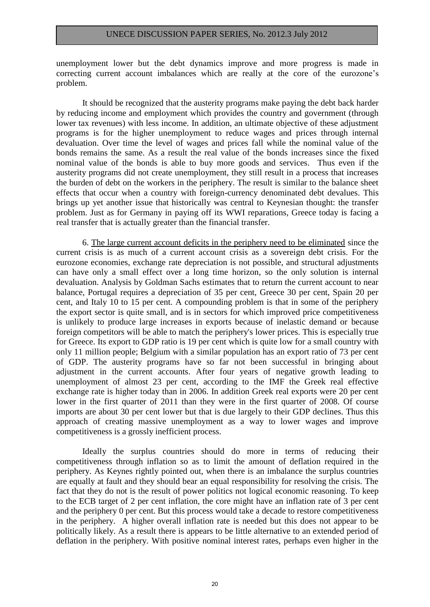unemployment lower but the debt dynamics improve and more progress is made in correcting current account imbalances which are really at the core of the eurozone's problem.

It should be recognized that the austerity programs make paying the debt back harder by reducing income and employment which provides the country and government (through lower tax revenues) with less income. In addition, an ultimate objective of these adjustment programs is for the higher unemployment to reduce wages and prices through internal devaluation. Over time the level of wages and prices fall while the nominal value of the bonds remains the same. As a result the real value of the bonds increases since the fixed nominal value of the bonds is able to buy more goods and services. Thus even if the austerity programs did not create unemployment, they still result in a process that increases the burden of debt on the workers in the periphery. The result is similar to the balance sheet effects that occur when a country with foreign-currency denominated debt devalues. This brings up yet another issue that historically was central to Keynesian thought: the transfer problem. Just as for Germany in paying off its WWI reparations, Greece today is facing a real transfer that is actually greater than the financial transfer.

6. The large current account deficits in the periphery need to be eliminated since the current crisis is as much of a current account crisis as a sovereign debt crisis. For the eurozone economies, exchange rate depreciation is not possible, and structural adjustments can have only a small effect over a long time horizon, so the only solution is internal devaluation. Analysis by Goldman Sachs estimates that to return the current account to near balance, Portugal requires a depreciation of 35 per cent, Greece 30 per cent, Spain 20 per cent, and Italy 10 to 15 per cent. A compounding problem is that in some of the periphery the export sector is quite small, and is in sectors for which improved price competitiveness is unlikely to produce large increases in exports because of inelastic demand or because foreign competitors will be able to match the periphery's lower prices. This is especially true for Greece. Its export to GDP ratio is 19 per cent which is quite low for a small country with only 11 million people; Belgium with a similar population has an export ratio of 73 per cent of GDP. The austerity programs have so far not been successful in bringing about adjustment in the current accounts. After four years of negative growth leading to unemployment of almost 23 per cent, according to the IMF the Greek real effective exchange rate is higher today than in 2006. In addition Greek real exports were 20 per cent lower in the first quarter of 2011 than they were in the first quarter of 2008. Of course imports are about 30 per cent lower but that is due largely to their GDP declines. Thus this approach of creating massive unemployment as a way to lower wages and improve competitiveness is a grossly inefficient process.

Ideally the surplus countries should do more in terms of reducing their competitiveness through inflation so as to limit the amount of deflation required in the periphery. As Keynes rightly pointed out, when there is an imbalance the surplus countries are equally at fault and they should bear an equal responsibility for resolving the crisis. The fact that they do not is the result of power politics not logical economic reasoning. To keep to the ECB target of 2 per cent inflation, the core might have an inflation rate of 3 per cent and the periphery 0 per cent. But this process would take a decade to restore competitiveness in the periphery. A higher overall inflation rate is needed but this does not appear to be politically likely. As a result there is appears to be little alternative to an extended period of deflation in the periphery. With positive nominal interest rates, perhaps even higher in the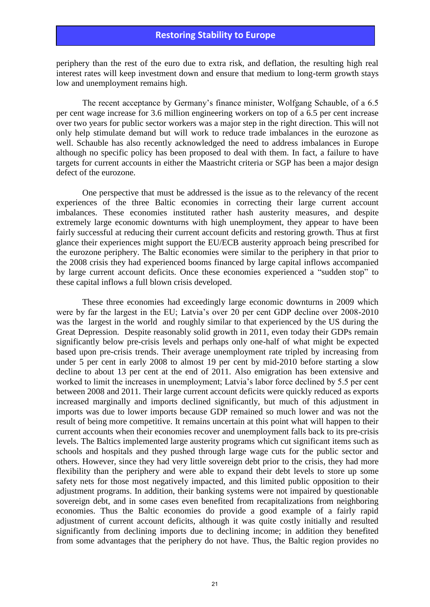periphery than the rest of the euro due to extra risk, and deflation, the resulting high real interest rates will keep investment down and ensure that medium to long-term growth stays low and unemployment remains high.

The recent acceptance by Germany's finance minister, Wolfgang Schauble, of a 6.5 per cent wage increase for 3.6 million engineering workers on top of a 6.5 per cent increase over two years for public sector workers was a major step in the right direction. This will not only help stimulate demand but will work to reduce trade imbalances in the eurozone as well. Schauble has also recently acknowledged the need to address imbalances in Europe although no specific policy has been proposed to deal with them. In fact, a failure to have targets for current accounts in either the Maastricht criteria or SGP has been a major design defect of the eurozone.

One perspective that must be addressed is the issue as to the relevancy of the recent experiences of the three Baltic economies in correcting their large current account imbalances. These economies instituted rather hash austerity measures, and despite extremely large economic downturns with high unemployment, they appear to have been fairly successful at reducing their current account deficits and restoring growth. Thus at first glance their experiences might support the EU/ECB austerity approach being prescribed for the eurozone periphery. The Baltic economies were similar to the periphery in that prior to the 2008 crisis they had experienced booms financed by large capital inflows accompanied by large current account deficits. Once these economies experienced a "sudden stop" to these capital inflows a full blown crisis developed.

These three economies had exceedingly large economic downturns in 2009 which were by far the largest in the EU; Latvia's over 20 per cent GDP decline over 2008-2010 was the largest in the world and roughly similar to that experienced by the US during the Great Depression. Despite reasonably solid growth in 2011, even today their GDPs remain significantly below pre-crisis levels and perhaps only one-half of what might be expected based upon pre-crisis trends. Their average unemployment rate tripled by increasing from under 5 per cent in early 2008 to almost 19 per cent by mid-2010 before starting a slow decline to about 13 per cent at the end of 2011. Also emigration has been extensive and worked to limit the increases in unemployment; Latvia's labor force declined by 5.5 per cent between 2008 and 2011. Their large current account deficits were quickly reduced as exports increased marginally and imports declined significantly, but much of this adjustment in imports was due to lower imports because GDP remained so much lower and was not the result of being more competitive. It remains uncertain at this point what will happen to their current accounts when their economies recover and unemployment falls back to its pre-crisis levels. The Baltics implemented large austerity programs which cut significant items such as schools and hospitals and they pushed through large wage cuts for the public sector and others. However, since they had very little sovereign debt prior to the crisis, they had more flexibility than the periphery and were able to expand their debt levels to store up some safety nets for those most negatively impacted, and this limited public opposition to their adjustment programs. In addition, their banking systems were not impaired by questionable sovereign debt, and in some cases even benefited from recapitalizations from neighboring economies. Thus the Baltic economies do provide a good example of a fairly rapid adjustment of current account deficits, although it was quite costly initially and resulted significantly from declining imports due to declining income; in addition they benefited from some advantages that the periphery do not have. Thus, the Baltic region provides no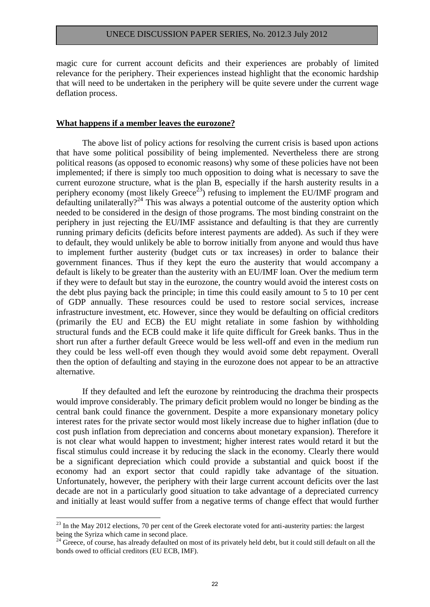magic cure for current account deficits and their experiences are probably of limited relevance for the periphery. Their experiences instead highlight that the economic hardship that will need to be undertaken in the periphery will be quite severe under the current wage deflation process.

#### **What happens if a member leaves the eurozone?**

The above list of policy actions for resolving the current crisis is based upon actions that have some political possibility of being implemented. Nevertheless there are strong political reasons (as opposed to economic reasons) why some of these policies have not been implemented; if there is simply too much opposition to doing what is necessary to save the current eurozone structure, what is the plan B, especially if the harsh austerity results in a periphery economy (most likely Greece<sup>23</sup>) refusing to implement the EU/IMF program and defaulting unilaterally?<sup>24</sup> This was always a potential outcome of the austerity option which needed to be considered in the design of those programs. The most binding constraint on the periphery in just rejecting the EU/IMF assistance and defaulting is that they are currently running primary deficits (deficits before interest payments are added). As such if they were to default, they would unlikely be able to borrow initially from anyone and would thus have to implement further austerity (budget cuts or tax increases) in order to balance their government finances. Thus if they kept the euro the austerity that would accompany a default is likely to be greater than the austerity with an EU/IMF loan. Over the medium term if they were to default but stay in the eurozone, the country would avoid the interest costs on the debt plus paying back the principle; in time this could easily amount to 5 to 10 per cent of GDP annually. These resources could be used to restore social services, increase infrastructure investment, etc. However, since they would be defaulting on official creditors (primarily the EU and ECB) the EU might retaliate in some fashion by withholding structural funds and the ECB could make it life quite difficult for Greek banks. Thus in the short run after a further default Greece would be less well-off and even in the medium run they could be less well-off even though they would avoid some debt repayment. Overall then the option of defaulting and staying in the eurozone does not appear to be an attractive alternative.

If they defaulted and left the eurozone by reintroducing the drachma their prospects would improve considerably. The primary deficit problem would no longer be binding as the central bank could finance the government. Despite a more expansionary monetary policy interest rates for the private sector would most likely increase due to higher inflation (due to cost push inflation from depreciation and concerns about monetary expansion). Therefore it is not clear what would happen to investment; higher interest rates would retard it but the fiscal stimulus could increase it by reducing the slack in the economy. Clearly there would be a significant depreciation which could provide a substantial and quick boost if the economy had an export sector that could rapidly take advantage of the situation. Unfortunately, however, the periphery with their large current account deficits over the last decade are not in a particularly good situation to take advantage of a depreciated currency and initially at least would suffer from a negative terms of change effect that would further

<sup>&</sup>lt;sup>23</sup> In the May 2012 elections, 70 per cent of the Greek electorate voted for anti-austerity parties: the largest being the Syriza which came in second place.

<sup>&</sup>lt;sup>24</sup> Greece, of course, has already defaulted on most of its privately held debt, but it could still default on all the bonds owed to official creditors (EU ECB, IMF).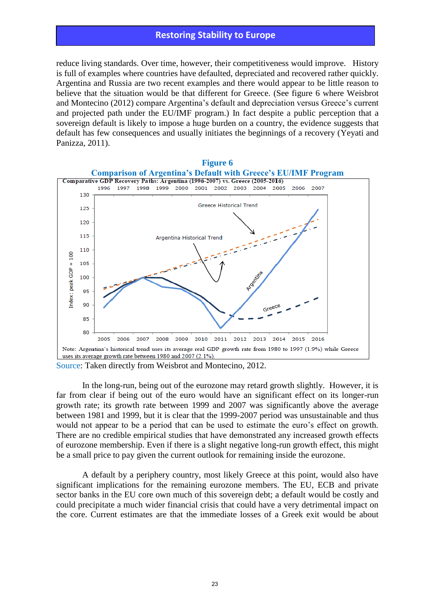reduce living standards. Over time, however, their competitiveness would improve. History is full of examples where countries have defaulted, depreciated and recovered rather quickly. Argentina and Russia are two recent examples and there would appear to be little reason to believe that the situation would be that different for Greece. (See figure 6 where Weisbrot and Montecino (2012) compare Argentina's default and depreciation versus Greece's current and projected path under the EU/IMF program.) In fact despite a public perception that a sovereign default is likely to impose a huge burden on a country, the evidence suggests that default has few consequences and usually initiates the beginnings of a recovery (Yeyati and Panizza, 2011).



Source: Taken directly from Weisbrot and Montecino, 2012.

In the long-run, being out of the eurozone may retard growth slightly. However, it is far from clear if being out of the euro would have an significant effect on its longer-run growth rate; its growth rate between 1999 and 2007 was significantly above the average between 1981 and 1999, but it is clear that the 1999-2007 period was unsustainable and thus would not appear to be a period that can be used to estimate the euro's effect on growth. There are no credible empirical studies that have demonstrated any increased growth effects of eurozone membership. Even if there is a slight negative long-run growth effect, this might be a small price to pay given the current outlook for remaining inside the eurozone.

A default by a periphery country, most likely Greece at this point, would also have significant implications for the remaining eurozone members. The EU, ECB and private sector banks in the EU core own much of this sovereign debt; a default would be costly and could precipitate a much wider financial crisis that could have a very detrimental impact on the core. Current estimates are that the immediate losses of a Greek exit would be about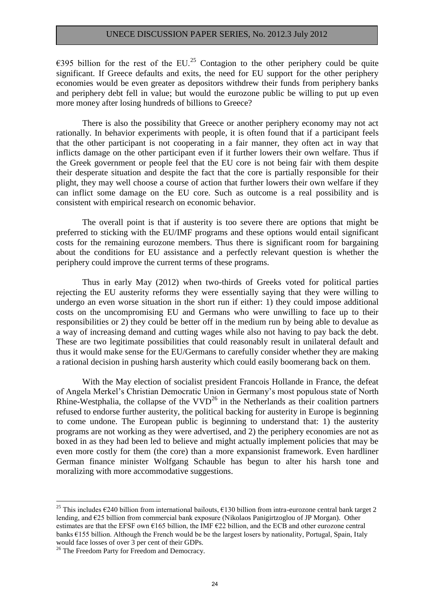€395 billion for the rest of the EU.<sup>25</sup> Contagion to the other periphery could be quite significant. If Greece defaults and exits, the need for EU support for the other periphery economies would be even greater as depositors withdrew their funds from periphery banks and periphery debt fell in value; but would the eurozone public be willing to put up even more money after losing hundreds of billions to Greece?

There is also the possibility that Greece or another periphery economy may not act rationally. In behavior experiments with people, it is often found that if a participant feels that the other participant is not cooperating in a fair manner, they often act in way that inflicts damage on the other participant even if it further lowers their own welfare. Thus if the Greek government or people feel that the EU core is not being fair with them despite their desperate situation and despite the fact that the core is partially responsible for their plight, they may well choose a course of action that further lowers their own welfare if they can inflict some damage on the EU core. Such as outcome is a real possibility and is consistent with empirical research on economic behavior.

The overall point is that if austerity is too severe there are options that might be preferred to sticking with the EU/IMF programs and these options would entail significant costs for the remaining eurozone members. Thus there is significant room for bargaining about the conditions for EU assistance and a perfectly relevant question is whether the periphery could improve the current terms of these programs.

Thus in early May (2012) when two-thirds of Greeks voted for political parties rejecting the EU austerity reforms they were essentially saying that they were willing to undergo an even worse situation in the short run if either: 1) they could impose additional costs on the uncompromising EU and Germans who were unwilling to face up to their responsibilities or 2) they could be better off in the medium run by being able to devalue as a way of increasing demand and cutting wages while also not having to pay back the debt. These are two legitimate possibilities that could reasonably result in unilateral default and thus it would make sense for the EU/Germans to carefully consider whether they are making a rational decision in pushing harsh austerity which could easily boomerang back on them.

With the May election of socialist president Francois Hollande in France, the defeat of Angela Merkel's Christian Democratic Union in Germany's most populous state of North Rhine-Westphalia, the collapse of the  $VVD^{26}$  in the Netherlands as their coalition partners refused to endorse further austerity, the political backing for austerity in Europe is beginning to come undone. The European public is beginning to understand that: 1) the austerity programs are not working as they were advertised, and 2) the periphery economies are not as boxed in as they had been led to believe and might actually implement policies that may be even more costly for them (the core) than a more expansionist framework. Even hardliner German finance minister Wolfgang Schauble has begun to alter his harsh tone and moralizing with more accommodative suggestions.

<sup>&</sup>lt;sup>25</sup> This includes  $\epsilon$ 240 billion from international bailouts,  $\epsilon$ 130 billion from intra-eurozone central bank target 2 lending, and €25 billion from commercial bank exposure (Nikolaos Panigirtzoglou of JP Morgan). Other estimates are that the EFSF own  $E165$  billion, the IMF  $E22$  billion, and the ECB and other eurozone central banks €155 billion. Although the French would be be the largest losers by nationality, Portugal, Spain, Italy would face losses of over 3 per cent of their GDPs.

<sup>&</sup>lt;sup>26</sup> The Freedom Party for Freedom and Democracy.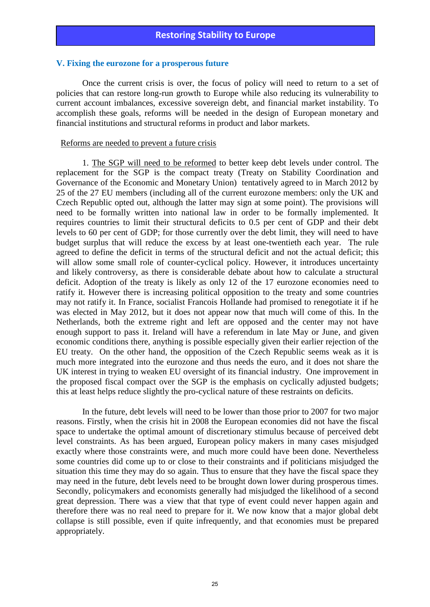#### **V. Fixing the eurozone for a prosperous future**

Once the current crisis is over, the focus of policy will need to return to a set of policies that can restore long-run growth to Europe while also reducing its vulnerability to current account imbalances, excessive sovereign debt, and financial market instability. To accomplish these goals, reforms will be needed in the design of European monetary and financial institutions and structural reforms in product and labor markets.

#### Reforms are needed to prevent a future crisis

1. The SGP will need to be reformed to better keep debt levels under control. The replacement for the SGP is the compact treaty (Treaty on Stability Coordination and Governance of the Economic and Monetary Union) tentatively agreed to in March 2012 by 25 of the 27 EU members (including all of the current eurozone members: only the UK and Czech Republic opted out, although the latter may sign at some point). The provisions will need to be formally written into national law in order to be formally implemented. It requires countries to limit their structural deficits to 0.5 per cent of GDP and their debt levels to 60 per cent of GDP; for those currently over the debt limit, they will need to have budget surplus that will reduce the excess by at least one-twentieth each year. The rule agreed to define the deficit in terms of the structural deficit and not the actual deficit; this will allow some small role of counter-cyclical policy. However, it introduces uncertainty and likely controversy, as there is considerable debate about how to calculate a structural deficit. Adoption of the treaty is likely as only 12 of the 17 eurozone economies need to ratify it. However there is increasing political opposition to the treaty and some countries may not ratify it. In France, socialist Francois Hollande had promised to renegotiate it if he was elected in May 2012, but it does not appear now that much will come of this. In the Netherlands, both the extreme right and left are opposed and the center may not have enough support to pass it. Ireland will have a referendum in late May or June, and given economic conditions there, anything is possible especially given their earlier rejection of the EU treaty. On the other hand, the opposition of the Czech Republic seems weak as it is much more integrated into the eurozone and thus needs the euro, and it does not share the UK interest in trying to weaken EU oversight of its financial industry. One improvement in the proposed fiscal compact over the SGP is the emphasis on cyclically adjusted budgets; this at least helps reduce slightly the pro-cyclical nature of these restraints on deficits.

In the future, debt levels will need to be lower than those prior to 2007 for two major reasons. Firstly, when the crisis hit in 2008 the European economies did not have the fiscal space to undertake the optimal amount of discretionary stimulus because of perceived debt level constraints. As has been argued, European policy makers in many cases misjudged exactly where those constraints were, and much more could have been done. Nevertheless some countries did come up to or close to their constraints and if politicians misjudged the situation this time they may do so again. Thus to ensure that they have the fiscal space they may need in the future, debt levels need to be brought down lower during prosperous times. Secondly, policymakers and economists generally had misjudged the likelihood of a second great depression. There was a view that that type of event could never happen again and therefore there was no real need to prepare for it. We now know that a major global debt collapse is still possible, even if quite infrequently, and that economies must be prepared appropriately.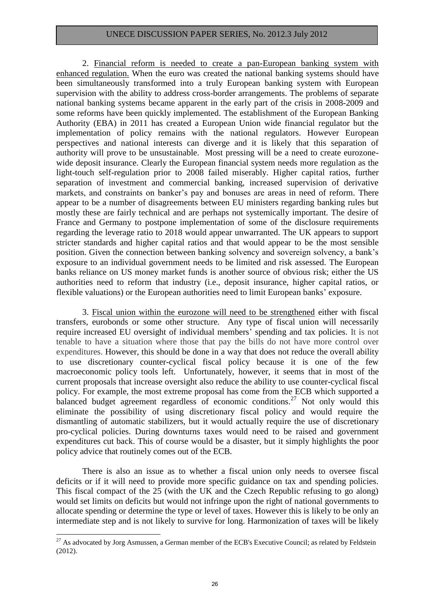2. Financial reform is needed to create a pan-European banking system with enhanced regulation. When the euro was created the national banking systems should have been simultaneously transformed into a truly European banking system with European supervision with the ability to address cross-border arrangements. The problems of separate national banking systems became apparent in the early part of the crisis in 2008-2009 and some reforms have been quickly implemented. The establishment of the European Banking Authority (EBA) in 2011 has created a European Union wide financial regulator but the implementation of policy remains with the national regulators. However European perspectives and national interests can diverge and it is likely that this separation of authority will prove to be unsustainable. Most pressing will be a need to create eurozonewide deposit insurance. Clearly the European financial system needs more regulation as the light-touch self-regulation prior to 2008 failed miserably. Higher capital ratios, further separation of investment and commercial banking, increased supervision of derivative markets, and constraints on banker's pay and bonuses are areas in need of reform. There appear to be a number of disagreements between EU ministers regarding banking rules but mostly these are fairly technical and are perhaps not systemically important. The desire of France and Germany to postpone implementation of some of the disclosure requirements regarding the leverage ratio to 2018 would appear unwarranted. The UK appears to support stricter standards and higher capital ratios and that would appear to be the most sensible position. Given the connection between banking solvency and sovereign solvency, a bank's exposure to an individual government needs to be limited and risk assessed. The European banks reliance on US money market funds is another source of obvious risk; either the US authorities need to reform that industry (i.e., deposit insurance, higher capital ratios, or flexible valuations) or the European authorities need to limit European banks' exposure.

3. Fiscal union within the eurozone will need to be strengthened either with fiscal transfers, eurobonds or some other structure. Any type of fiscal union will necessarily require increased EU oversight of individual members' spending and tax policies. It is not tenable to have a situation where those that pay the bills do not have more control over expenditures. However, this should be done in a way that does not reduce the overall ability to use discretionary counter-cyclical fiscal policy because it is one of the few macroeconomic policy tools left. Unfortunately, however, it seems that in most of the current proposals that increase oversight also reduce the ability to use counter-cyclical fiscal policy. For example, the most extreme proposal has come from the ECB which supported a balanced budget agreement regardless of economic conditions.<sup>27</sup> Not only would this eliminate the possibility of using discretionary fiscal policy and would require the dismantling of automatic stabilizers, but it would actually require the use of discretionary pro-cyclical policies. During downturns taxes would need to be raised and government expenditures cut back. This of course would be a disaster, but it simply highlights the poor policy advice that routinely comes out of the ECB.

There is also an issue as to whether a fiscal union only needs to oversee fiscal deficits or if it will need to provide more specific guidance on tax and spending policies. This fiscal compact of the 25 (with the UK and the Czech Republic refusing to go along) would set limits on deficits but would not infringe upon the right of national governments to allocate spending or determine the type or level of taxes. However this is likely to be only an intermediate step and is not likely to survive for long. Harmonization of taxes will be likely

<sup>&</sup>lt;u>.</u>  $27$  As advocated by Jorg Asmussen, a German member of the ECB's Executive Council; as related by Feldstein (2012).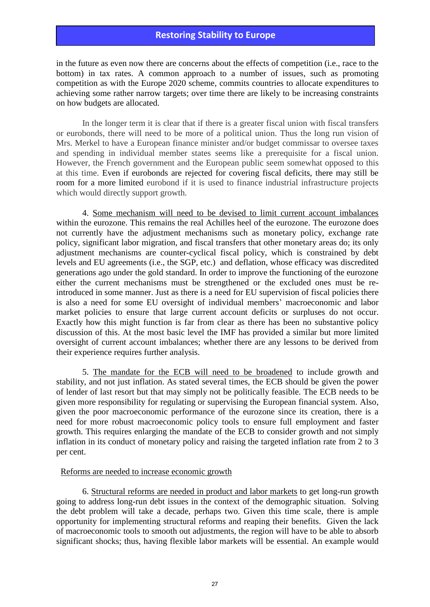in the future as even now there are concerns about the effects of competition (i.e., race to the bottom) in tax rates. A common approach to a number of issues, such as promoting competition as with the Europe 2020 scheme, commits countries to allocate expenditures to achieving some rather narrow targets; over time there are likely to be increasing constraints on how budgets are allocated.

In the longer term it is clear that if there is a greater fiscal union with fiscal transfers or eurobonds, there will need to be more of a political union. Thus the long run vision of Mrs. Merkel to have a European finance minister and/or budget commissar to oversee taxes and spending in individual member states seems like a prerequisite for a fiscal union. However, the French government and the European public seem somewhat opposed to this at this time. Even if eurobonds are rejected for covering fiscal deficits, there may still be room for a more limited eurobond if it is used to finance industrial infrastructure projects which would directly support growth.

4. Some mechanism will need to be devised to limit current account imbalances within the eurozone. This remains the real Achilles heel of the eurozone. The eurozone does not currently have the adjustment mechanisms such as monetary policy, exchange rate policy, significant labor migration, and fiscal transfers that other monetary areas do; its only adjustment mechanisms are counter-cyclical fiscal policy, which is constrained by debt levels and EU agreements (i.e., the SGP, etc.) and deflation, whose efficacy was discredited generations ago under the gold standard. In order to improve the functioning of the eurozone either the current mechanisms must be strengthened or the excluded ones must be reintroduced in some manner. Just as there is a need for EU supervision of fiscal policies there is also a need for some EU oversight of individual members' macroeconomic and labor market policies to ensure that large current account deficits or surpluses do not occur. Exactly how this might function is far from clear as there has been no substantive policy discussion of this. At the most basic level the IMF has provided a similar but more limited oversight of current account imbalances; whether there are any lessons to be derived from their experience requires further analysis.

5. The mandate for the ECB will need to be broadened to include growth and stability, and not just inflation. As stated several times, the ECB should be given the power of lender of last resort but that may simply not be politically feasible. The ECB needs to be given more responsibility for regulating or supervising the European financial system. Also, given the poor macroeconomic performance of the eurozone since its creation, there is a need for more robust macroeconomic policy tools to ensure full employment and faster growth. This requires enlarging the mandate of the ECB to consider growth and not simply inflation in its conduct of monetary policy and raising the targeted inflation rate from 2 to 3 per cent.

#### Reforms are needed to increase economic growth

6. Structural reforms are needed in product and labor markets to get long-run growth going to address long-run debt issues in the context of the demographic situation. Solving the debt problem will take a decade, perhaps two. Given this time scale, there is ample opportunity for implementing structural reforms and reaping their benefits. Given the lack of macroeconomic tools to smooth out adjustments, the region will have to be able to absorb significant shocks; thus, having flexible labor markets will be essential. An example would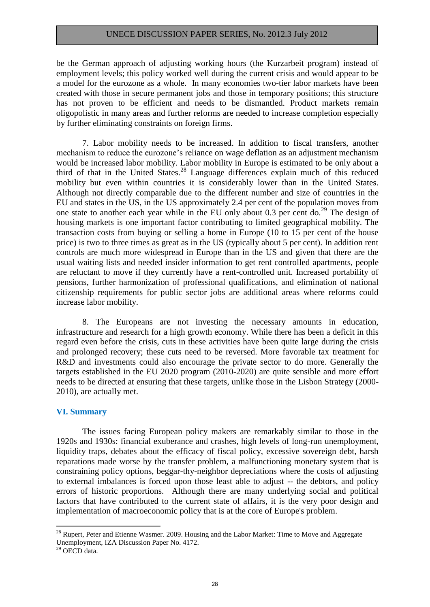be the German approach of adjusting working hours (the Kurzarbeit program) instead of employment levels; this policy worked well during the current crisis and would appear to be a model for the eurozone as a whole. In many economies two-tier labor markets have been created with those in secure permanent jobs and those in temporary positions; this structure has not proven to be efficient and needs to be dismantled. Product markets remain oligopolistic in many areas and further reforms are needed to increase completion especially by further eliminating constraints on foreign firms.

7. Labor mobility needs to be increased. In addition to fiscal transfers, another mechanism to reduce the eurozone's reliance on wage deflation as an adjustment mechanism would be increased labor mobility. Labor mobility in Europe is estimated to be only about a third of that in the United States.<sup>28</sup> Language differences explain much of this reduced mobility but even within countries it is considerably lower than in the United States. Although not directly comparable due to the different number and size of countries in the EU and states in the US, in the US approximately 2.4 per cent of the population moves from one state to another each year while in the EU only about 0.3 per cent do.<sup>29</sup> The design of housing markets is one important factor contributing to limited geographical mobility. The transaction costs from buying or selling a home in Europe (10 to 15 per cent of the house price) is two to three times as great as in the US (typically about 5 per cent). In addition rent controls are much more widespread in Europe than in the US and given that there are the usual waiting lists and needed insider information to get rent controlled apartments, people are reluctant to move if they currently have a rent-controlled unit. Increased portability of pensions, further harmonization of professional qualifications, and elimination of national citizenship requirements for public sector jobs are additional areas where reforms could increase labor mobility.

8. The Europeans are not investing the necessary amounts in education, infrastructure and research for a high growth economy. While there has been a deficit in this regard even before the crisis, cuts in these activities have been quite large during the crisis and prolonged recovery; these cuts need to be reversed. More favorable tax treatment for R&D and investments could also encourage the private sector to do more. Generally the targets established in the EU 2020 program (2010-2020) are quite sensible and more effort needs to be directed at ensuring that these targets, unlike those in the Lisbon Strategy (2000- 2010), are actually met.

#### **VI. Summary**

The issues facing European policy makers are remarkably similar to those in the 1920s and 1930s: financial exuberance and crashes, high levels of long-run unemployment, liquidity traps, debates about the efficacy of fiscal policy, excessive sovereign debt, harsh reparations made worse by the transfer problem, a malfunctioning monetary system that is constraining policy options, beggar-thy-neighbor depreciations where the costs of adjusting to external imbalances is forced upon those least able to adjust -- the debtors, and policy errors of historic proportions. Although there are many underlying social and political factors that have contributed to the current state of affairs, it is the very poor design and implementation of macroeconomic policy that is at the core of Europe's problem.

 $^{28}$  Rupert, Peter and Etienne Wasmer. 2009. Housing and the Labor Market: Time to Move and Aggregate Unemployment, IZA Discussion Paper No. 4172.

<sup>29</sup> OECD data.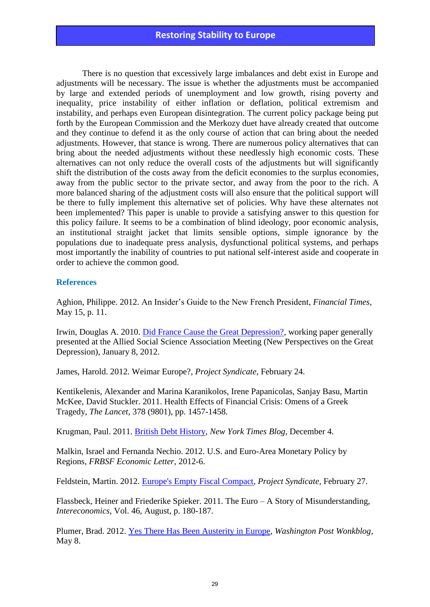There is no question that excessively large imbalances and debt exist in Europe and adjustments will be necessary. The issue is whether the adjustments must be accompanied by large and extended periods of unemployment and low growth, rising poverty and inequality, price instability of either inflation or deflation, political extremism and instability, and perhaps even European disintegration. The current policy package being put forth by the European Commission and the Merkozy duet have already created that outcome and they continue to defend it as the only course of action that can bring about the needed adjustments. However, that stance is wrong. There are numerous policy alternatives that can bring about the needed adjustments without these needlessly high economic costs. These alternatives can not only reduce the overall costs of the adjustments but will significantly shift the distribution of the costs away from the deficit economies to the surplus economies, away from the public sector to the private sector, and away from the poor to the rich. A more balanced sharing of the adjustment costs will also ensure that the political support will be there to fully implement this alternative set of policies. Why have these alternates not been implemented? This paper is unable to provide a satisfying answer to this question for this policy failure. It seems to be a combination of blind ideology, poor economic analysis, an institutional straight jacket that limits sensible options, simple ignorance by the populations due to inadequate press analysis, dysfunctional political systems, and perhaps most importantly the inability of countries to put national self-interest aside and cooperate in order to achieve the common good.

#### **References**

Aghion, Philippe. 2012. An Insider's Guide to the New French President, *Financial Times*, May 15, p. 11.

Irwin, Douglas A. 2010. [Did France Cause the Great Depression?,](http://www.dartmouth.edu/~dirwin/Did%20France%20Cause%20the%20Great%20Depression.pdf) working paper generally presented at the Allied Social Science Association Meeting (New Perspectives on the Great Depression), January 8, 2012.

James, Harold. 2012. Weimar Europe?, *Project Syndicate*, February 24.

Kentikelenis, Alexander and Marina Karanikolos, Irene Papanicolas, Sanjay Basu, Martin McKee, David Stuckler. 2011. Health Effects of Financial Crisis: Omens of a Greek Tragedy, *The Lancet*, 378 (9801), pp. 1457-1458.

Krugman, Paul. 2011. [British Debt History,](http://krugman.blogs.nytimes.com/2011/12/04/british-debt-history) *New York Times Blog*, December 4.

Malkin, Israel and Fernanda Nechio. 2012. U.S. and Euro-Area Monetary Policy by Regions, *FRBSF Economic Letter*, 2012-6.

Feldstein, Martin. 2012. [Europe's Empty Fiscal Compact,](http://www.nber.org/feldstein/projectsyndicatefeb2012.html) *Project Syndicate*, February 27.

Flassbeck, Heiner and Friederike Spieker. 2011. The Euro – A Story of Misunderstanding, *Intereconomics*, Vol. 46, August, p. 180-187.

Plumer, Brad. 2012. [Yes There Has Been Austerity in Europe,](http://www.washingtonpost.com/blogs/ezra-klein/post/yes-theres-been-austerity-in-europe/2012/05/08/gIQAQ1NsAU_blog.html) *Washington Post Wonkblog*, May 8.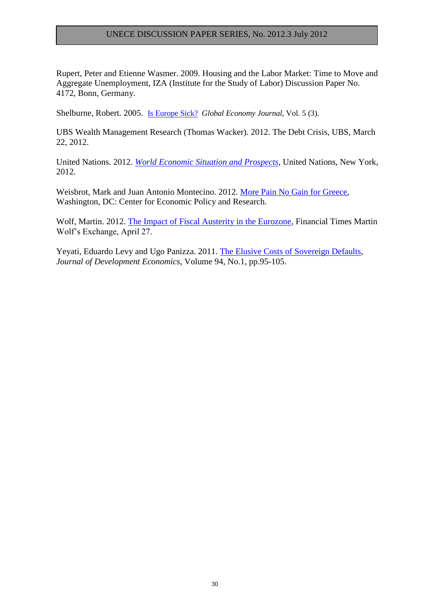Rupert, Peter and Etienne Wasmer. 2009. Housing and the Labor Market: Time to Move and Aggregate Unemployment, IZA (Institute for the Study of Labor) Discussion Paper No. 4172, Bonn, Germany.

Shelburne, Robert. 2005. [Is Europe Sick?](http://www.bepress.com/gej/vol5/iss3) *Global Economy Journal*, Vol. 5 (3).

UBS Wealth Management Research (Thomas Wacker). 2012. The Debt Crisis, UBS, March 22, 2012.

United Nations. 2012. *[World Economic Situation and Prospects](http://www.un.org/en/development/desa/policy/wesp/wesp_current/2012wesp.pdf)*, United Nations, New York, 2012.

Weisbrot, Mark and Juan Antonio Montecino. 2012. [More Pain No Gain for Greece,](http://www.cepr.net/documents/publications/greece-2012-02.pdf) Washington, DC: Center for Economic Policy and Research.

Wolf, Martin. 2012. [The Impact of Fiscal Austerity in the Eurozone,](http://blogs.ft.com/martin-wolf-exchange/2012/04/27/the-impact-of-fiscal-austerity-in-the-eurozone) Financial Times Martin Wolf's Exchange, April 27.

Yeyati, Eduardo Levy and Ugo Panizza. 2011. [The Elusive Costs of Sovereign Defaults,](http://www.sciencedirect.com/science/journal/03043878/94/1) *Journal of Development Economics*, Volume 94, No.1, pp.95-105.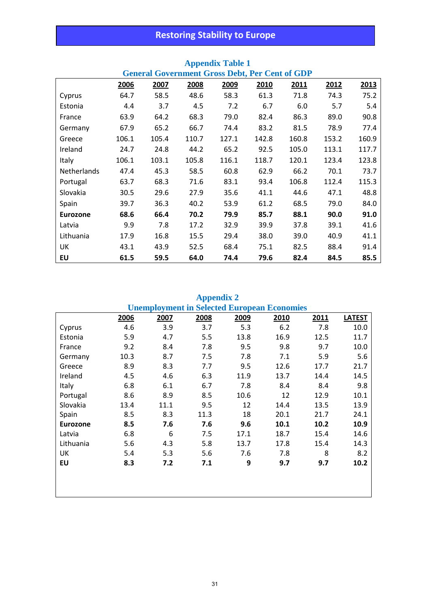| <b>General Government Gross Debt, Per Cent of GDP</b> |       |       |       |       |       |       |       |       |
|-------------------------------------------------------|-------|-------|-------|-------|-------|-------|-------|-------|
|                                                       | 2006  | 2007  | 2008  | 2009  | 2010  | 2011  | 2012  | 2013  |
| Cyprus                                                | 64.7  | 58.5  | 48.6  | 58.3  | 61.3  | 71.8  | 74.3  | 75.2  |
| Estonia                                               | 4.4   | 3.7   | 4.5   | 7.2   | 6.7   | 6.0   | 5.7   | 5.4   |
| France                                                | 63.9  | 64.2  | 68.3  | 79.0  | 82.4  | 86.3  | 89.0  | 90.8  |
| Germany                                               | 67.9  | 65.2  | 66.7  | 74.4  | 83.2  | 81.5  | 78.9  | 77.4  |
| Greece                                                | 106.1 | 105.4 | 110.7 | 127.1 | 142.8 | 160.8 | 153.2 | 160.9 |
| Ireland                                               | 24.7  | 24.8  | 44.2  | 65.2  | 92.5  | 105.0 | 113.1 | 117.7 |
| Italy                                                 | 106.1 | 103.1 | 105.8 | 116.1 | 118.7 | 120.1 | 123.4 | 123.8 |
| Netherlands                                           | 47.4  | 45.3  | 58.5  | 60.8  | 62.9  | 66.2  | 70.1  | 73.7  |
| Portugal                                              | 63.7  | 68.3  | 71.6  | 83.1  | 93.4  | 106.8 | 112.4 | 115.3 |
| Slovakia                                              | 30.5  | 29.6  | 27.9  | 35.6  | 41.1  | 44.6  | 47.1  | 48.8  |
| Spain                                                 | 39.7  | 36.3  | 40.2  | 53.9  | 61.2  | 68.5  | 79.0  | 84.0  |
| <b>Eurozone</b>                                       | 68.6  | 66.4  | 70.2  | 79.9  | 85.7  | 88.1  | 90.0  | 91.0  |
| Latvia                                                | 9.9   | 7.8   | 17.2  | 32.9  | 39.9  | 37.8  | 39.1  | 41.6  |
| Lithuania                                             | 17.9  | 16.8  | 15.5  | 29.4  | 38.0  | 39.0  | 40.9  | 41.1  |
| UK                                                    | 43.1  | 43.9  | 52.5  | 68.4  | 75.1  | 82.5  | 88.4  | 91.4  |
| EU                                                    | 61.5  | 59.5  | 64.0  | 74.4  | 79.6  | 82.4  | 84.5  | 85.5  |

# **Appendix Table 1**

# **Appendix 2**

|                 | <b>Unemployment in Selected European Economies</b> |      |      |      |      |      |               |  |
|-----------------|----------------------------------------------------|------|------|------|------|------|---------------|--|
|                 | 2006                                               | 2007 | 2008 | 2009 | 2010 | 2011 | <b>LATEST</b> |  |
| Cyprus          | 4.6                                                | 3.9  | 3.7  | 5.3  | 6.2  | 7.8  | 10.0          |  |
| Estonia         | 5.9                                                | 4.7  | 5.5  | 13.8 | 16.9 | 12.5 | 11.7          |  |
| France          | 9.2                                                | 8.4  | 7.8  | 9.5  | 9.8  | 9.7  | 10.0          |  |
| Germany         | 10.3                                               | 8.7  | 7.5  | 7.8  | 7.1  | 5.9  | 5.6           |  |
| Greece          | 8.9                                                | 8.3  | 7.7  | 9.5  | 12.6 | 17.7 | 21.7          |  |
| Ireland         | 4.5                                                | 4.6  | 6.3  | 11.9 | 13.7 | 14.4 | 14.5          |  |
| Italy           | 6.8                                                | 6.1  | 6.7  | 7.8  | 8.4  | 8.4  | 9.8           |  |
| Portugal        | 8.6                                                | 8.9  | 8.5  | 10.6 | 12   | 12.9 | 10.1          |  |
| Slovakia        | 13.4                                               | 11.1 | 9.5  | 12   | 14.4 | 13.5 | 13.9          |  |
| Spain           | 8.5                                                | 8.3  | 11.3 | 18   | 20.1 | 21.7 | 24.1          |  |
| <b>Eurozone</b> | 8.5                                                | 7.6  | 7.6  | 9.6  | 10.1 | 10.2 | 10.9          |  |
| Latvia          | 6.8                                                | 6    | 7.5  | 17.1 | 18.7 | 15.4 | 14.6          |  |
| Lithuania       | 5.6                                                | 4.3  | 5.8  | 13.7 | 17.8 | 15.4 | 14.3          |  |
| UK              | 5.4                                                | 5.3  | 5.6  | 7.6  | 7.8  | 8    | 8.2           |  |
| EU              | 8.3                                                | 7.2  | 7.1  | 9    | 9.7  | 9.7  | 10.2          |  |
|                 |                                                    |      |      |      |      |      |               |  |
|                 |                                                    |      |      |      |      |      |               |  |
|                 |                                                    |      |      |      |      |      |               |  |